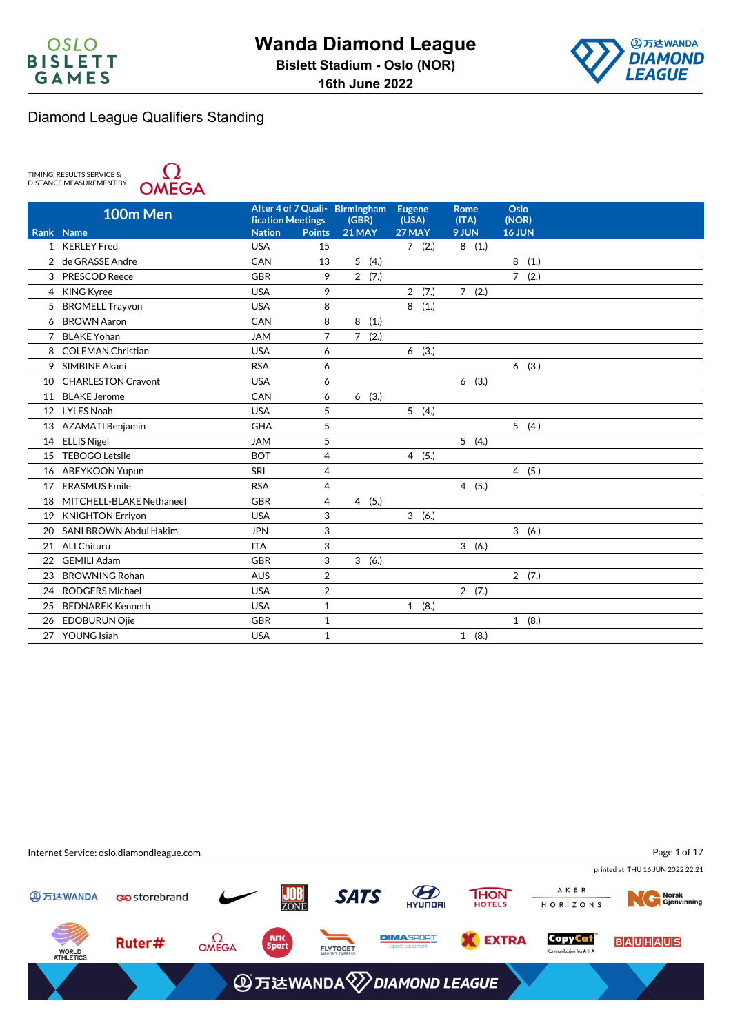



TIMING, RESULTS SERVICE &<br>DISTANCE MEASUREMENT BY



|                | 100m Men                  |                                    |                | After 4 of 7 Quali- Birmingham | <b>Eugene</b>   | <b>Rome</b>    | Oslo            |
|----------------|---------------------------|------------------------------------|----------------|--------------------------------|-----------------|----------------|-----------------|
|                | Rank Name                 | fication Meetings<br><b>Nation</b> | <b>Points</b>  | (GBR)<br><b>21 MAY</b>         | (USA)<br>27 MAY | (ITA)<br>9 JUN | (NOR)<br>16 JUN |
|                | 1 KERLEY Fred             | <b>USA</b>                         | 15             |                                | 7(2.)           | 8(1.)          |                 |
|                | 2 de GRASSE Andre         | CAN                                | 13             | 5(4.)                          |                 |                | 8<br>(1.)       |
|                | 3 PRESCOD Reece           | <b>GBR</b>                         | 9              | 2(7.)                          |                 |                | 7(2.)           |
|                | 4 KING Kyree              | <b>USA</b>                         | 9              |                                | 2(7.)           | 7(2.)          |                 |
|                | 5 BROMELL Trayvon         | <b>USA</b>                         | 8              |                                | 8(1.)           |                |                 |
| 6              | <b>BROWN Aaron</b>        | CAN                                | 8              | 8<br>(1.)                      |                 |                |                 |
| $\overline{7}$ | <b>BLAKE Yohan</b>        | <b>JAM</b>                         | $\overline{7}$ | $\overline{7}$<br>(2.)         |                 |                |                 |
|                | <b>COLEMAN Christian</b>  | <b>USA</b>                         |                |                                |                 |                |                 |
| 8              | SIMBINE Akani             |                                    | 6              |                                | 6(3.)           |                |                 |
| 9              |                           | <b>RSA</b>                         | 6              |                                |                 |                | 6(3.)           |
| 10             | <b>CHARLESTON Cravont</b> | <b>USA</b>                         | 6              |                                |                 | 6(3.)          |                 |
| 11             | <b>BLAKE Jerome</b>       | CAN                                | 6              | (3.)<br>6                      |                 |                |                 |
| 12             | <b>LYLES Noah</b>         | <b>USA</b>                         | 5              |                                | 5(4.)           |                |                 |
| 13             | <b>AZAMATI Benjamin</b>   | <b>GHA</b>                         | 5              |                                |                 |                | 5(4.)           |
| 14             | <b>ELLIS Nigel</b>        | <b>JAM</b>                         | 5              |                                |                 | 5(4.)          |                 |
| 15             | <b>TEBOGO Letsile</b>     | <b>BOT</b>                         | $\overline{4}$ |                                | 4(5.)           |                |                 |
| 16             | <b>ABEYKOON Yupun</b>     | SRI                                | $\overline{4}$ |                                |                 |                | 4(5.)           |
| 17             | <b>ERASMUS Emile</b>      | <b>RSA</b>                         | $\overline{4}$ |                                |                 | 4(5.)          |                 |
| 18             | MITCHELL-BLAKE Nethaneel  | <b>GBR</b>                         | 4              | 4(5.)                          |                 |                |                 |
| 19             | <b>KNIGHTON Erriyon</b>   | <b>USA</b>                         | 3              |                                | 3(6.)           |                |                 |
| 20             | SANI BROWN Abdul Hakim    | <b>JPN</b>                         | 3              |                                |                 |                | 3(6.)           |
| 21             | <b>ALI Chituru</b>        | <b>ITA</b>                         | 3              |                                |                 | 3(6.)          |                 |
| 22             | <b>GEMILI Adam</b>        | <b>GBR</b>                         | 3              | 3(6.)                          |                 |                |                 |
| 23             | <b>BROWNING Rohan</b>     | <b>AUS</b>                         | $\overline{2}$ |                                |                 |                | 2(7.)           |
| 24             | <b>RODGERS Michael</b>    | <b>USA</b>                         | $\overline{2}$ |                                |                 | 2(7.)          |                 |
| 25             | <b>BEDNAREK Kenneth</b>   | <b>USA</b>                         | $\mathbf{1}$   |                                | 1(8.)           |                |                 |
| 26             | <b>EDOBURUN Ojie</b>      | <b>GBR</b>                         | $\mathbf{1}$   |                                |                 |                | 1(8.)           |
| 27             | <b>YOUNG Isiah</b>        | <b>USA</b>                         | $\mathbf{1}$   |                                |                 | 1(8.)          |                 |
|                |                           |                                    |                |                                |                 |                |                 |

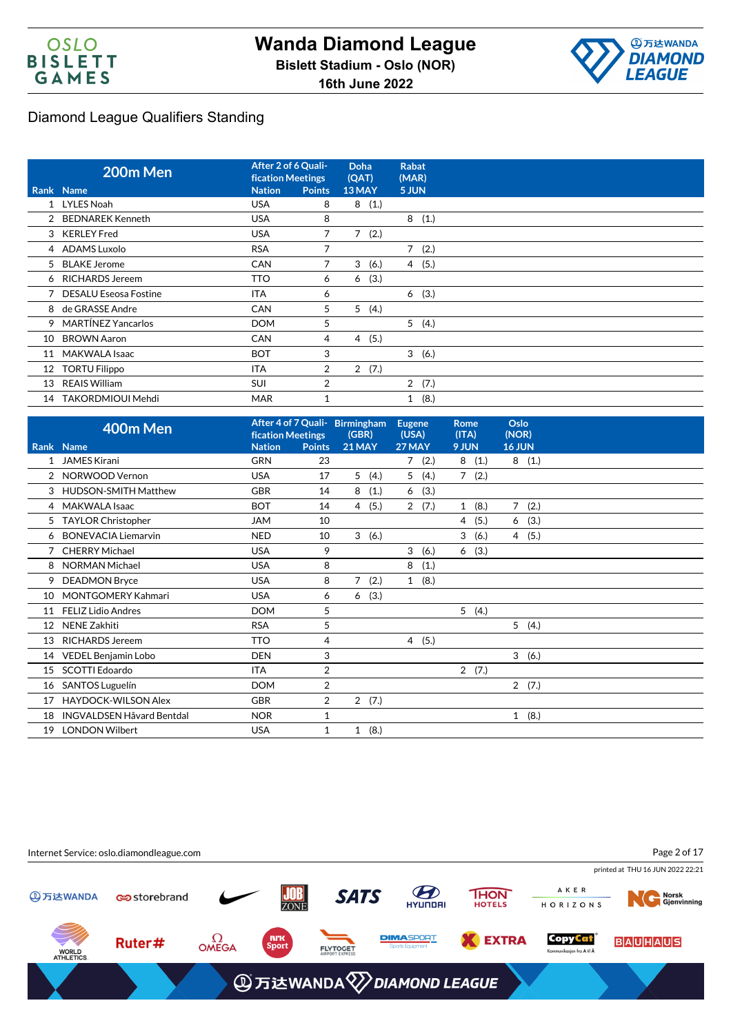



|    | 200m Men                | After 2 of 6 Quali-<br><b>fication Meetings</b> |                | <b>Doha</b><br>(QAT) | <b>Rabat</b><br>(MAR) |  |
|----|-------------------------|-------------------------------------------------|----------------|----------------------|-----------------------|--|
|    | Rank Name               | <b>Nation</b>                                   | <b>Points</b>  | 13 MAY               | 5 JUN                 |  |
|    | 1 LYLES Noah            | <b>USA</b>                                      | 8              | 8<br>(1.)            |                       |  |
|    | 2 BEDNAREK Kenneth      | <b>USA</b>                                      | 8              |                      | 8<br>(1.)             |  |
|    | 3 KERLEY Fred           | <b>USA</b>                                      | 7              | 7(2.)                |                       |  |
|    | 4 ADAMS Luxolo          | <b>RSA</b>                                      | 7              |                      | $7^{\circ}$<br>(2.)   |  |
|    | 5 BLAKE Jerome          | <b>CAN</b>                                      | 7              | 3<br>(6.)            | 4(5.)                 |  |
|    | 6 RICHARDS Jereem       | <b>TTO</b>                                      | 6              | (3.)<br>6            |                       |  |
|    | 7 DESALU Eseosa Fostine | <b>ITA</b>                                      | 6              |                      | (3.)<br>6             |  |
|    | 8 de GRASSE Andre       | <b>CAN</b>                                      | 5              | 5<br>(4.)            |                       |  |
|    | 9 MARTINEZ Yancarlos    | <b>DOM</b>                                      | 5              |                      | 5(4.)                 |  |
| 10 | <b>BROWN Aaron</b>      | <b>CAN</b>                                      | 4              | 4(5.)                |                       |  |
| 11 | MAKWALA Isaac           | <b>BOT</b>                                      | 3              |                      | 3(6.)                 |  |
| 12 | <b>TORTU Filippo</b>    | ITA                                             | $\overline{2}$ | 2(7.)                |                       |  |
| 13 | <b>REAIS William</b>    | <b>SUI</b>                                      | 2              |                      | 2(7.)                 |  |
| 14 | TAKORDMIOUI Mehdi       | <b>MAR</b>                                      |                |                      | (8.)<br>$\mathbf{1}$  |  |

|              | 400m Men                         | <b>fication Meetings</b> |                | After 4 of 7 Quali- Birmingham<br>(GBR) | <b>Eugene</b><br>(USA) | <b>Rome</b><br>(ITA) | Oslo<br>(NOR)        |
|--------------|----------------------------------|--------------------------|----------------|-----------------------------------------|------------------------|----------------------|----------------------|
|              | Rank Name                        | <b>Nation</b>            | <b>Points</b>  | <b>21 MAY</b>                           | 27 MAY                 | 9 JUN                | 16 JUN               |
| $\mathbf{1}$ | JAMES Kirani                     | <b>GRN</b>               | 23             |                                         | (2.)<br>7              | 8(1.)                | 8(1.)                |
|              | 2 NORWOOD Vernon                 | <b>USA</b>               | 17             | 5<br>(4.)                               | 5(4.)                  | 7(2.)                |                      |
|              | 3 HUDSON-SMITH Matthew           | <b>GBR</b>               | 14             | 8<br>(1.)                               | (3.)<br>6              |                      |                      |
|              | 4 MAKWALA Isaac                  | <b>BOT</b>               | 14             | (5.)<br>4                               | 2(7.)                  | (8.)<br>$\mathbf{1}$ | $7^{\circ}$<br>(2.)  |
| 5            | <b>TAYLOR Christopher</b>        | <b>JAM</b>               | 10             |                                         |                        | 4(5.)                | 6(3.)                |
| 6            | <b>BONEVACIA Liemarvin</b>       | <b>NED</b>               | 10             | 3<br>(6.)                               |                        | 3<br>(6.)            | 4(5.)                |
|              | <b>CHERRY Michael</b>            | <b>USA</b>               | 9              |                                         | 3<br>(6.)              | 6(3.)                |                      |
| 8            | <b>NORMAN Michael</b>            | <b>USA</b>               | 8              |                                         | 8<br>(1.)              |                      |                      |
| 9            | <b>DEADMON Bryce</b>             | <b>USA</b>               | 8              | $\overline{7}$<br>(2.)                  | (8.)<br>$\mathbf{1}$   |                      |                      |
| 10           | <b>MONTGOMERY Kahmari</b>        | <b>USA</b>               | 6              | (3.)<br>6                               |                        |                      |                      |
| 11           | <b>FELIZ Lidio Andres</b>        | <b>DOM</b>               | 5              |                                         |                        | 5(4.)                |                      |
| 12           | <b>NENE Zakhiti</b>              | <b>RSA</b>               | 5              |                                         |                        |                      | 5(4.)                |
| 13           | <b>RICHARDS Jereem</b>           | <b>TTO</b>               | 4              |                                         | 4 (5.)                 |                      |                      |
| 14           | <b>VEDEL Benjamin Lobo</b>       | <b>DEN</b>               | 3              |                                         |                        |                      | 3(6.)                |
| 15           | SCOTTI Edoardo                   | <b>ITA</b>               | $\overline{2}$ |                                         |                        | 2(7.)                |                      |
| 16           | SANTOS Luguelín                  | <b>DOM</b>               | $\overline{2}$ |                                         |                        |                      | 2(7.)                |
| 17           | <b>HAYDOCK-WILSON Alex</b>       | <b>GBR</b>               | 2              | 2(7.)                                   |                        |                      |                      |
| 18           | <b>INGVALDSEN Håvard Bentdal</b> | <b>NOR</b>               | 1              |                                         |                        |                      | (8.)<br>$\mathbf{1}$ |
| 19           | <b>LONDON Wilbert</b>            | <b>USA</b>               | $\mathbf{1}$   | (8.)<br>$\mathbf{1}$                    |                        |                      |                      |

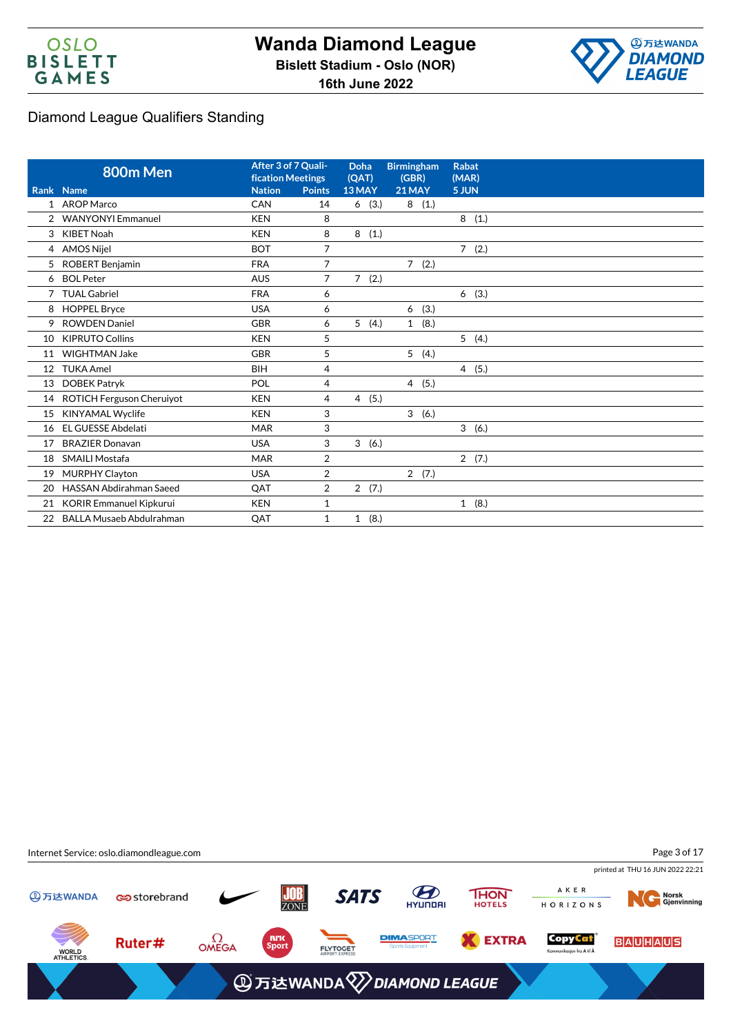



|                | 800m Men                         | After 3 of 7 Quali-<br><b>fication Meetings</b> |                | Doha<br>(QAT)          | <b>Birmingham</b><br>(GBR) | <b>Rabat</b><br>(MAR)  |
|----------------|----------------------------------|-------------------------------------------------|----------------|------------------------|----------------------------|------------------------|
|                | <b>Rank Name</b>                 | <b>Nation</b>                                   | <b>Points</b>  | 13 MAY                 | <b>21 MAY</b>              | 5 JUN                  |
|                | 1 AROP Marco                     | CAN                                             | 14             | 6(3.)                  | 8(1.)                      |                        |
| $\overline{2}$ | <b>WANYONYI Emmanuel</b>         | <b>KEN</b>                                      | 8              |                        |                            | 8(1.)                  |
| 3              | <b>KIBET Noah</b>                | <b>KEN</b>                                      | 8              | 8<br>(1.)              |                            |                        |
| 4              | <b>AMOS Nijel</b>                | <b>BOT</b>                                      | $\overline{7}$ |                        |                            | $\overline{7}$<br>(2.) |
| 5              | <b>ROBERT Benjamin</b>           | <b>FRA</b>                                      | $\overline{7}$ |                        | 7(2.)                      |                        |
| 6              | <b>BOL Peter</b>                 | <b>AUS</b>                                      | $\overline{7}$ | $\overline{7}$<br>(2.) |                            |                        |
| 7              | <b>TUAL Gabriel</b>              | <b>FRA</b>                                      | 6              |                        |                            | 6(3.)                  |
| 8              | <b>HOPPEL Bryce</b>              | <b>USA</b>                                      | 6              |                        | (3.)<br>6                  |                        |
| 9              | <b>ROWDEN Daniel</b>             | <b>GBR</b>                                      | 6              | 5(4.)                  | (8.)<br>$\mathbf{1}$       |                        |
| 10             | <b>KIPRUTO Collins</b>           | <b>KEN</b>                                      | 5              |                        |                            | 5(4.)                  |
| 11             | <b>WIGHTMAN Jake</b>             | <b>GBR</b>                                      | 5              |                        | 5(4.)                      |                        |
| 12             | <b>TUKA Amel</b>                 | <b>BIH</b>                                      | $\overline{4}$ |                        |                            | 4(5.)                  |
| 13             | <b>DOBEK Patryk</b>              | POL                                             | 4              |                        | 4(5.)                      |                        |
| 14             | <b>ROTICH Ferguson Cheruiyot</b> | <b>KEN</b>                                      | 4              | 4(5.)                  |                            |                        |
| 15             | <b>KINYAMAL Wyclife</b>          | <b>KEN</b>                                      | 3              |                        | 3 <sup>1</sup><br>(6.)     |                        |
| 16             | <b>EL GUESSE Abdelati</b>        | <b>MAR</b>                                      | 3              |                        |                            | 3(6.)                  |
| 17             | <b>BRAZIER Donavan</b>           | <b>USA</b>                                      | 3              | 3<br>(6.)              |                            |                        |
| 18             | <b>SMAILI Mostafa</b>            | <b>MAR</b>                                      | $\overline{2}$ |                        |                            | 2(7.)                  |
| 19             | <b>MURPHY Clayton</b>            | <b>USA</b>                                      | $\overline{2}$ |                        | 2(7.)                      |                        |
| 20             | <b>HASSAN Abdirahman Saeed</b>   | QAT                                             | $\overline{2}$ | 2(7.)                  |                            |                        |
| 21             | <b>KORIR Emmanuel Kipkurui</b>   | <b>KEN</b>                                      | 1              |                        |                            | 1(8.)                  |
| 22             | <b>BALLA Musaeb Abdulrahman</b>  | QAT                                             | $\mathbf{1}$   | 1(8.)                  |                            |                        |

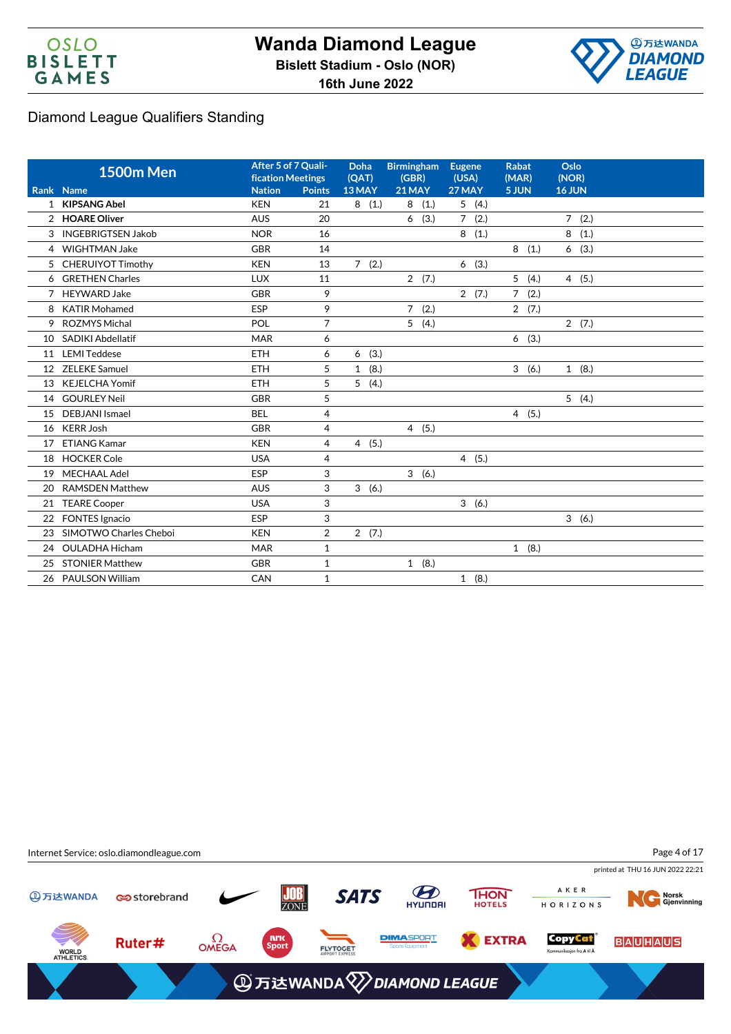



|    | <b>1500m Men</b>          | After 5 of 7 Quali-<br><b>fication Meetings</b> |                | <b>Doha</b><br>(QAT) | <b>Birmingham</b><br>(GBR) | <b>Eugene</b><br>(USA) | <b>Rabat</b><br>(MAR)  | Oslo<br>(NOR) |
|----|---------------------------|-------------------------------------------------|----------------|----------------------|----------------------------|------------------------|------------------------|---------------|
|    | Rank Name                 | <b>Nation</b>                                   | <b>Points</b>  | 13 MAY               | <b>21 MAY</b>              | 27 MAY                 | 5 JUN                  | <b>16 JUN</b> |
|    | 1 KIPSANG Abel            | <b>KEN</b>                                      | 21             | 8(1.)                | (1.)<br>8                  | 5(4.)                  |                        |               |
|    | 2 HOARE Oliver            | <b>AUS</b>                                      | 20             |                      | (3.)<br>6                  | (2.)<br>$7^{\circ}$    |                        | 7(2.)         |
| 3  | <b>INGEBRIGTSEN Jakob</b> | <b>NOR</b>                                      | 16             |                      |                            | 8(1.)                  |                        | 8<br>(1.)     |
|    | 4 WIGHTMAN Jake           | <b>GBR</b>                                      | 14             |                      |                            |                        | 8<br>(1.)              | 6(3.)         |
| 5  | <b>CHERUIYOT Timothy</b>  | <b>KEN</b>                                      | 13             | 7(2.)                |                            | (3.)<br>6              |                        |               |
| 6  | <b>GRETHEN Charles</b>    | <b>LUX</b>                                      | 11             |                      | 2(7.)                      |                        | 5<br>(4.)              | 4(5.)         |
| 7  | <b>HEYWARD Jake</b>       | <b>GBR</b>                                      | 9              |                      |                            | 2(7.)                  | 7 <sup>1</sup><br>(2.) |               |
| 8  | <b>KATIR Mohamed</b>      | ESP                                             | 9              |                      | $\overline{7}$<br>(2.)     |                        | 2(7.)                  |               |
| 9  | ROZMYS Michal             | POL                                             | $\overline{7}$ |                      | 5(4.)                      |                        |                        | 2(7.)         |
| 10 | <b>SADIKI Abdellatif</b>  | <b>MAR</b>                                      | 6              |                      |                            |                        | (3.)<br>6              |               |
| 11 | <b>LEMI Teddese</b>       | <b>ETH</b>                                      | 6              | (3.)<br>6            |                            |                        |                        |               |
| 12 | <b>ZELEKE Samuel</b>      | <b>ETH</b>                                      | 5              | (8.)<br>$\mathbf{1}$ |                            |                        | 3 <sup>7</sup><br>(6.) | 1(8.)         |
| 13 | <b>KEJELCHA Yomif</b>     | <b>ETH</b>                                      | 5              | (4.)<br>5            |                            |                        |                        |               |
| 14 | <b>GOURLEY Neil</b>       | <b>GBR</b>                                      | 5              |                      |                            |                        |                        | 5(4.)         |
| 15 | <b>DEBJANI</b> Ismael     | <b>BEL</b>                                      | 4              |                      |                            |                        | $\overline{4}$<br>(5.) |               |
| 16 | <b>KERR Josh</b>          | <b>GBR</b>                                      | $\overline{4}$ |                      | 4(5.)                      |                        |                        |               |
| 17 | <b>ETIANG Kamar</b>       | <b>KEN</b>                                      | 4              | 4(5.)                |                            |                        |                        |               |
| 18 | <b>HOCKER Cole</b>        | <b>USA</b>                                      | 4              |                      |                            | 4(5.)                  |                        |               |
| 19 | <b>MECHAAL Adel</b>       | ESP                                             | 3              |                      | 3(6.)                      |                        |                        |               |
| 20 | <b>RAMSDEN Matthew</b>    | <b>AUS</b>                                      | 3              | 3(6.)                |                            |                        |                        |               |
| 21 | <b>TEARE Cooper</b>       | <b>USA</b>                                      | 3              |                      |                            | 3(6.)                  |                        |               |
| 22 | <b>FONTES Ignacio</b>     | ESP                                             | 3              |                      |                            |                        |                        | 3(6.)         |
| 23 | SIMOTWO Charles Cheboi    | <b>KEN</b>                                      | $\overline{2}$ | 2(7.)                |                            |                        |                        |               |
| 24 | <b>OULADHA Hicham</b>     | MAR                                             | $\mathbf{1}$   |                      |                            |                        | 1<br>(8.)              |               |
| 25 | <b>STONIER Matthew</b>    | <b>GBR</b>                                      | $\mathbf{1}$   |                      | 1(8.)                      |                        |                        |               |
| 26 | <b>PAULSON William</b>    | CAN                                             | $\mathbf{1}$   |                      |                            | 1(8.)                  |                        |               |
|    |                           |                                                 |                |                      |                            |                        |                        |               |

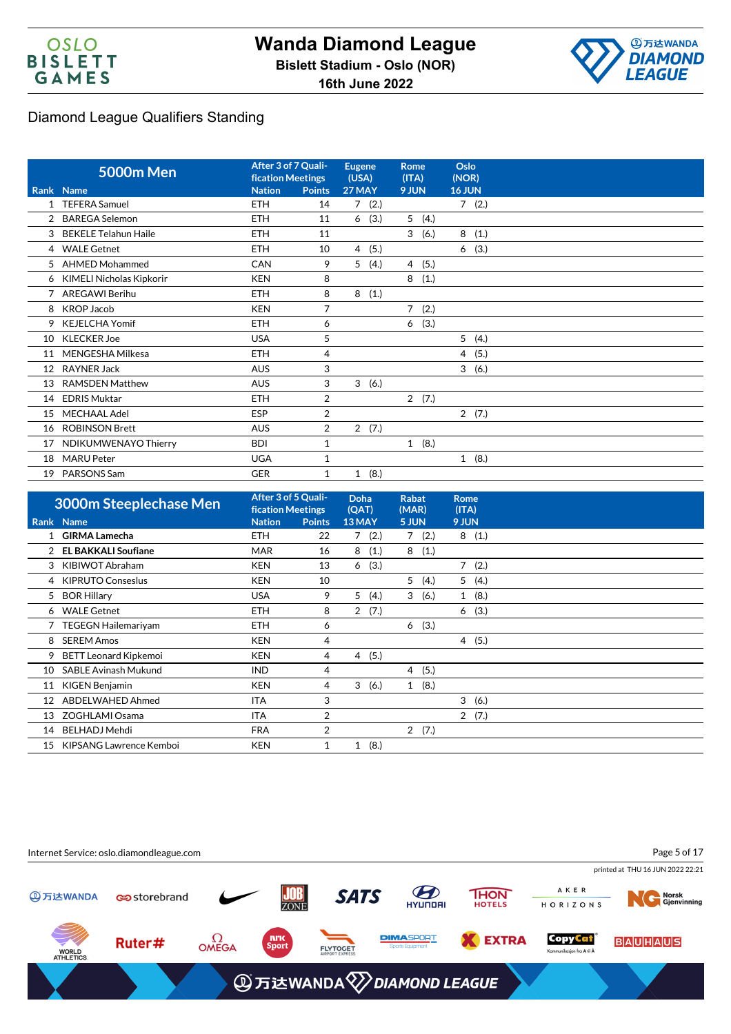



|                   | <b>5000m Men</b>            | After 3 of 7 Quali-<br><b>fication Meetings</b> |                | <b>Eugene</b><br>(USA) | <b>Rome</b><br>(ITA) | Oslo<br>(NOR)          |
|-------------------|-----------------------------|-------------------------------------------------|----------------|------------------------|----------------------|------------------------|
|                   | Rank Name                   | <b>Nation</b>                                   | <b>Points</b>  | 27 MAY                 | 9 JUN                | <b>16 JUN</b>          |
|                   | <b>TEFERA Samuel</b>        | <b>ETH</b>                                      | 14             | $\overline{7}$<br>(2.) |                      | 7(2.)                  |
| 2                 | <b>BAREGA Selemon</b>       | <b>ETH</b>                                      | 11             | (3.)<br>6              | 5<br>(4.)            |                        |
| 3                 | <b>BEKELE Telahun Haile</b> | <b>ETH</b>                                      | 11             |                        | 3<br>(6.)            | 8<br>(1.)              |
| 4                 | <b>WALE Getnet</b>          | <b>ETH</b>                                      | 10             | (5.)<br>$\overline{4}$ |                      | (3.)<br>6              |
| 5                 | <b>AHMED Mohammed</b>       | CAN                                             | 9              | 5<br>(4.)              | (5.)<br>4            |                        |
| 6                 | KIMELI Nicholas Kipkorir    | <b>KEN</b>                                      | 8              |                        | 8<br>(1.)            |                        |
| 7                 | <b>AREGAWI Berihu</b>       | <b>ETH</b>                                      | 8              | 8<br>(1.)              |                      |                        |
| 8                 | <b>KROP Jacob</b>           | <b>KEN</b>                                      | $\overline{7}$ |                        | 7<br>(2.)            |                        |
| 9                 | <b>KEJELCHA Yomif</b>       | <b>ETH</b>                                      | 6              |                        | (3.)<br>6            |                        |
| 10                | <b>KLECKER Joe</b>          | <b>USA</b>                                      | 5              |                        |                      | 5(4.)                  |
| 11                | MENGESHA Milkesa            | <b>ETH</b>                                      | 4              |                        |                      | (5.)<br>$\overline{4}$ |
| $12 \overline{ }$ | <b>RAYNER Jack</b>          | <b>AUS</b>                                      | 3              |                        |                      | 3(6.)                  |
| 13                | <b>RAMSDEN Matthew</b>      | <b>AUS</b>                                      | 3              | 3<br>(6.)              |                      |                        |
| 14                | <b>EDRIS Muktar</b>         | <b>ETH</b>                                      | $\overline{2}$ |                        | 2(7.)                |                        |
| 15                | <b>MECHAAL Adel</b>         | ESP                                             | 2              |                        |                      | 2(7.)                  |
|                   | 16 ROBINSON Brett           | <b>AUS</b>                                      | 2              | 2(7.)                  |                      |                        |
| 17                | NDIKUMWENAYO Thierry        | <b>BDI</b>                                      | $\mathbf{1}$   |                        | 1(8.)                |                        |
| 18                | <b>MARU Peter</b>           | <b>UGA</b>                                      | 1              |                        |                      | 1(8.)                  |
| 19                | PARSONS Sam                 | <b>GER</b>                                      | 1              | (8.)<br>$\mathbf{1}$   |                      |                        |

|    | <b>3000m Steeplechase Men</b> | <b>fication Meetings</b> | After 3 of 5 Quali- | Doha<br>(QAT) | <b>Rabat</b><br>(MAR)  | Rome<br>(ITA) |
|----|-------------------------------|--------------------------|---------------------|---------------|------------------------|---------------|
|    | Rank Name                     | <b>Nation</b>            | <b>Points</b>       | 13 MAY        | 5 JUN                  | 9 JUN         |
|    | <b>GIRMA Lamecha</b>          | <b>ETH</b>               | 22                  | (2.)<br>7     | 7(2.)                  | 8(1.)         |
| 2  | <b>EL BAKKALI Soufiane</b>    | <b>MAR</b>               | 16                  | (1.)<br>8     | 8<br>(1.)              |               |
| 3  | KIBIWOT Abraham               | <b>KEN</b>               | 13                  | (3.)<br>6     |                        | 7(2.)         |
| 4  | <b>KIPRUTO Conseslus</b>      | <b>KEN</b>               | 10                  |               | 5 <sup>5</sup><br>(4.) | 5(4.)         |
| 5  | <b>BOR Hillary</b>            | <b>USA</b>               | 9                   | 5<br>(4.)     | 3<br>(6.)              | 1(8.)         |
| 6  | <b>WALE Getnet</b>            | <b>ETH</b>               | 8                   | 2(7.)         |                        | 6(3.)         |
|    | <b>TEGEGN Hailemariyam</b>    | <b>ETH</b>               | 6                   |               | (3.)<br>6              |               |
| 8  | <b>SEREM Amos</b>             | <b>KEN</b>               | 4                   |               |                        | 4(5.)         |
| 9  | <b>BETT Leonard Kipkemoi</b>  | <b>KEN</b>               | 4                   | (5.)<br>4     |                        |               |
| 10 | <b>SABLE Avinash Mukund</b>   | <b>IND</b>               | 4                   |               | 4(5.)                  |               |
| 11 | KIGEN Benjamin                | <b>KEN</b>               | 4                   | 3<br>(6.)     | (8.)<br>$\mathbf{1}$   |               |
| 12 | ABDELWAHED Ahmed              | <b>ITA</b>               | 3                   |               |                        | 3(6.)         |
| 13 | ZOGHLAMI Osama                | <b>ITA</b>               | $\overline{2}$      |               |                        | 2(7.)         |
| 14 | <b>BELHADJ Mehdi</b>          | <b>FRA</b>               | $\overline{2}$      |               | 2(7.)                  |               |
| 15 | KIPSANG Lawrence Kemboi       | <b>KEN</b>               | 1                   | (8.)<br>1     |                        |               |

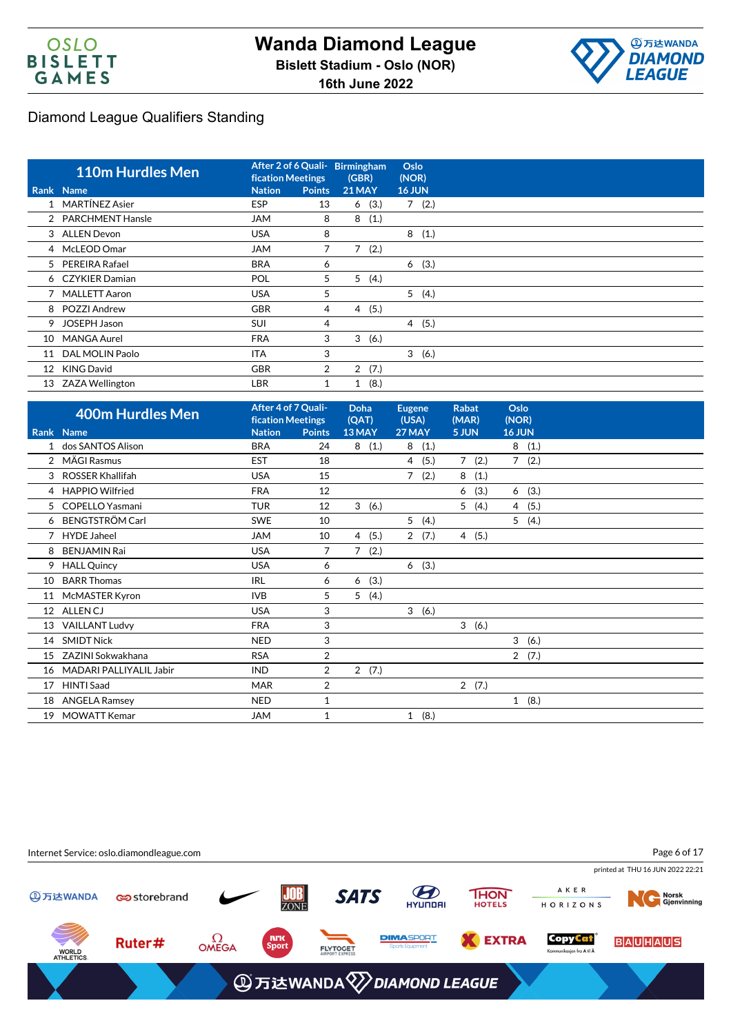



|    | <b>110m Hurdles Men</b> | <b>fication Meetings</b> | After 2 of 6 Quali- Birmingham | (GBR)         |       | Oslo<br>(NOR) |       |
|----|-------------------------|--------------------------|--------------------------------|---------------|-------|---------------|-------|
|    | Rank Name               | <b>Nation</b>            | <b>Points</b>                  | <b>21 MAY</b> |       | <b>16 JUN</b> |       |
|    | MARTÍNEZ Asier          | <b>ESP</b>               | 13                             | 6             | (3.)  |               | 7(2.) |
|    | 2 PARCHMENT Hansle      | <b>JAM</b>               | 8                              | 8             | (1.)  |               |       |
|    | 3 ALLEN Devon           | <b>USA</b>               | 8                              |               |       | 8             | (1.)  |
|    | 4 McLEOD Omar           | <b>JAM</b>               | 7                              | 7             | (2.)  |               |       |
|    | 5 PEREIRA Rafael        | <b>BRA</b>               | 6                              |               |       |               | 6(3.) |
|    | 6 CZYKIER Damian        | POL                      | 5                              | 5             | (4.)  |               |       |
|    | 7 MALLETT Aaron         | <b>USA</b>               | 5                              |               |       |               | 5(4.) |
|    | 8 POZZI Andrew          | <b>GBR</b>               | 4                              | 4(5.)         |       |               |       |
| 9  | <b>JOSEPH Jason</b>     | <b>SUI</b>               | 4                              |               |       |               | 4(5.) |
| 10 | <b>MANGA Aurel</b>      | <b>FRA</b>               | 3                              | 3             | (6.)  |               |       |
| 11 | DAL MOLIN Paolo         | <b>ITA</b>               | 3                              |               |       |               | 3(6.) |
| 12 | KING David              | <b>GBR</b>               | $\overline{2}$                 |               | 2(7.) |               |       |
|    | 13 ZAZA Wellington      | <b>LBR</b>               |                                | $\mathbf{1}$  | (8.)  |               |       |

| <b>400m Hurdles Men</b>  |                                                                                                                       |                | <b>Doha</b><br>(QAT)                            | <b>Eugene</b><br>(USA) | <b>Rabat</b><br>(MAR) | Oslo<br>(NOR) |
|--------------------------|-----------------------------------------------------------------------------------------------------------------------|----------------|-------------------------------------------------|------------------------|-----------------------|---------------|
|                          | <b>Nation</b>                                                                                                         | <b>Points</b>  | 13 MAY                                          | 27 MAY                 | 5 JUN                 | 16 JUN        |
| dos SANTOS Alison        | <b>BRA</b>                                                                                                            | 24             | (1.)<br>8                                       | (1.)<br>8              |                       | 8<br>(1.)     |
|                          | <b>EST</b>                                                                                                            | 18             |                                                 | (5.)<br>4              | 7(2.)                 | 7(2.)         |
| <b>ROSSER Khallifah</b>  | <b>USA</b>                                                                                                            | 15             |                                                 | 7<br>(2.)              | 8(1.)                 |               |
| <b>HAPPIO Wilfried</b>   | <b>FRA</b>                                                                                                            | 12             |                                                 |                        | (3.)<br>6             | (3.)<br>6     |
| <b>COPELLO Yasmani</b>   | <b>TUR</b>                                                                                                            | 12             | 3<br>(6.)                                       |                        | 5(4.)                 | 4(5.)         |
| <b>BENGTSTRÖM Carl</b>   | <b>SWE</b>                                                                                                            | 10             |                                                 | 5(4.)                  |                       | 5(4.)         |
| <b>HYDE Jaheel</b>       | <b>JAM</b>                                                                                                            | 10             | 4<br>(5.)                                       | 2(7.)                  | 4(5.)                 |               |
| <b>BENJAMIN Rai</b>      | <b>USA</b>                                                                                                            | 7              | (2.)<br>7                                       |                        |                       |               |
| <b>HALL Quincy</b>       | <b>USA</b>                                                                                                            | 6              |                                                 | 6(3.)                  |                       |               |
| <b>BARR Thomas</b>       | <b>IRL</b>                                                                                                            | 6              | (3.)<br>6                                       |                        |                       |               |
| McMASTER Kyron           | <b>IVB</b>                                                                                                            | 5              | (4.)<br>5                                       |                        |                       |               |
|                          | <b>USA</b>                                                                                                            | 3              |                                                 | 3<br>(6.)              |                       |               |
| <b>VAILLANT Ludvy</b>    | <b>FRA</b>                                                                                                            | 3              |                                                 |                        | 3(6.)                 |               |
| <b>SMIDT Nick</b>        | <b>NED</b>                                                                                                            | 3              |                                                 |                        |                       | 3<br>(6.)     |
| ZAZINI Sokwakhana        | <b>RSA</b>                                                                                                            | 2              |                                                 |                        |                       | 2(7.)         |
|                          | <b>IND</b>                                                                                                            | 2              | 2(7.)                                           |                        |                       |               |
| <b>HINTI Saad</b>        | <b>MAR</b>                                                                                                            | $\overline{2}$ |                                                 |                        | 2(7.)                 |               |
|                          | <b>NED</b>                                                                                                            | $\mathbf{1}$   |                                                 |                        |                       | 1(8.)         |
| <b>MOWATT Kemar</b>      | <b>JAM</b>                                                                                                            | $\mathbf{1}$   |                                                 | 1(8.)                  |                       |               |
| 4<br>9<br>10<br>17<br>19 | Rank Name<br>2 MÄGI Rasmus<br>3<br>12 ALLENCJ<br>13<br>14<br>16 MADARI PALLIYALIL Jabir<br><b>ANGELA Ramsey</b><br>18 |                | After 4 of 7 Quali-<br><b>fication Meetings</b> |                        |                       |               |

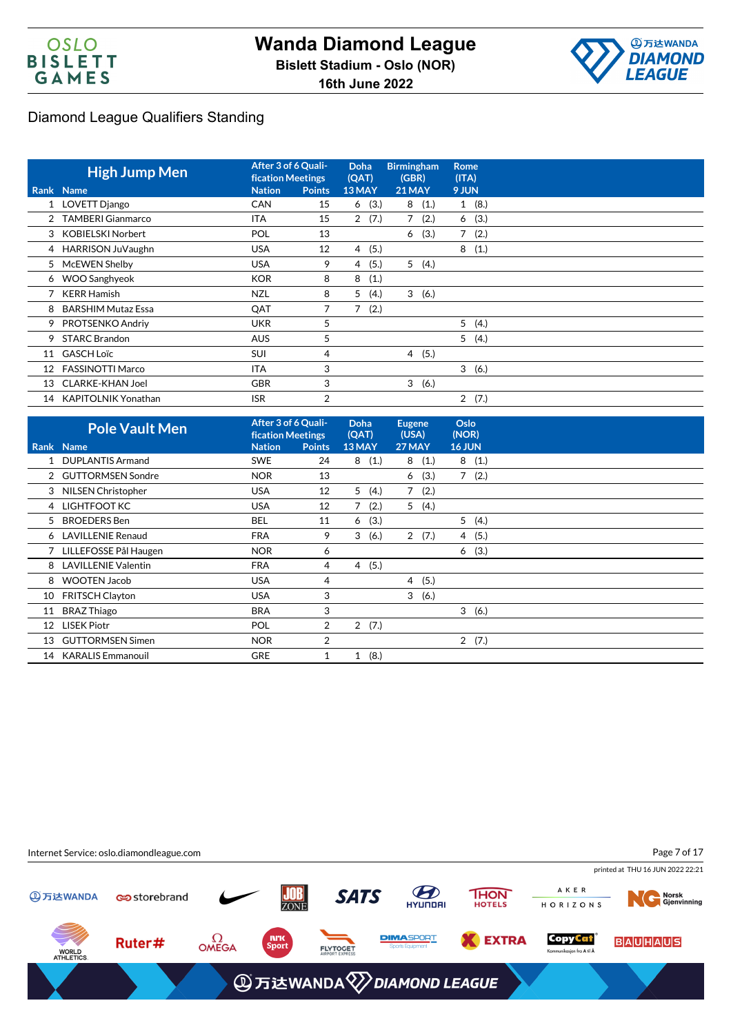



|    | <b>High Jump Men</b>       | After 3 of 6 Quali-<br><b>fication Meetings</b> |               | <b>Doha</b><br>(QAT) | <b>Birmingham</b><br>(GBR) | <b>Rome</b><br>(ITA)   |
|----|----------------------------|-------------------------------------------------|---------------|----------------------|----------------------------|------------------------|
|    | <b>Rank Name</b>           | <b>Nation</b>                                   | <b>Points</b> | 13 MAY               | <b>21 MAY</b>              | 9 JUN                  |
|    | 1 LOVETT Django            | <b>CAN</b>                                      | 15            | (3.)<br>6            | 8<br>(1.)                  | (8.)<br>1              |
|    | 2 TAMBERI Gianmarco        | <b>ITA</b>                                      | 15            | 2(7.)                | (2.)<br>7                  | 6(3.)                  |
|    | 3 KOBIELSKI Norbert        | POL                                             | 13            |                      | (3.)<br>6                  | $\overline{7}$<br>(2.) |
|    | 4 HARRISON JuVaughn        | <b>USA</b>                                      | 12            | (5.)<br>4            |                            | 8<br>(1.)              |
| 5. | McEWEN Shelby              | <b>USA</b>                                      | 9             | (5.)<br>4            | 5(4.)                      |                        |
| 6  | <b>WOO Sanghyeok</b>       | <b>KOR</b>                                      | 8             | 8<br>(1.)            |                            |                        |
|    | <b>KERR Hamish</b>         | <b>NZL</b>                                      | 8             | 5<br>(4.)            | 3(6.)                      |                        |
| 8  | <b>BARSHIM Mutaz Essa</b>  | QAT                                             | 7             | 7<br>(2.)            |                            |                        |
| 9  | PROTSENKO Andriy           | <b>UKR</b>                                      | 5             |                      |                            | 5(4.)                  |
| 9  | <b>STARC Brandon</b>       | <b>AUS</b>                                      | 5             |                      |                            | 5(4.)                  |
|    | 11 GASCH Loïc              | <b>SUI</b>                                      | 4             |                      | 4 (5.)                     |                        |
| 12 | <b>FASSINOTTI Marco</b>    | <b>ITA</b>                                      | 3             |                      |                            | 3(6.)                  |
| 13 | <b>CLARKE-KHAN Joel</b>    | <b>GBR</b>                                      | 3             |                      | 3(6.)                      |                        |
| 14 | <b>KAPITOLNIK Yonathan</b> | <b>ISR</b>                                      | 2             |                      |                            | 2(7.)                  |

|                 | <b>Pole Vault Men</b>    | After 3 of 6 Quali-<br><b>fication Meetings</b> |                | <b>Doha</b><br>(QAT)   | <b>Eugene</b><br>(USA) | Oslo<br>(NOR) |  |
|-----------------|--------------------------|-------------------------------------------------|----------------|------------------------|------------------------|---------------|--|
|                 | Rank Name                | <b>Nation</b>                                   | <b>Points</b>  | 13 MAY                 | 27 MAY                 | <b>16 JUN</b> |  |
|                 | 1 DUPLANTIS Armand       | <b>SWE</b>                                      | 24             | (1.)<br>8              | 8(1.)                  | 8(1.)         |  |
|                 | 2 GUTTORMSEN Sondre      | <b>NOR</b>                                      | 13             |                        | (3.)<br>6              | 7(2.)         |  |
|                 | 3 NILSEN Christopher     | <b>USA</b>                                      | 12             | 5<br>(4.)              | $\overline{7}$<br>(2.) |               |  |
|                 | 4 LIGHTFOOT KC           | <b>USA</b>                                      | 12             | 7<br>(2.)              | 5(4.)                  |               |  |
| 5.              | <b>BROEDERS</b> Ben      | <b>BEL</b>                                      | 11             | (3.)<br>6              |                        | 5(4.)         |  |
|                 | 6 LAVILLENIE Renaud      | <b>FRA</b>                                      | 9              | 3<br>(6.)              | 2(7.)                  | 4(5.)         |  |
|                 | 7 LILLEFOSSE Pål Haugen  | <b>NOR</b>                                      | 6              |                        |                        | (3.)<br>6     |  |
|                 | 8 LAVILLENIE Valentin    | <b>FRA</b>                                      | 4              | (5.)<br>$\overline{4}$ |                        |               |  |
| 8               | <b>WOOTEN Jacob</b>      | <b>USA</b>                                      | 4              |                        | (5.)<br>4              |               |  |
| 10              | <b>FRITSCH Clayton</b>   | <b>USA</b>                                      | 3              |                        | 3(6.)                  |               |  |
| 11              | <b>BRAZ Thiago</b>       | <b>BRA</b>                                      | 3              |                        |                        | 3(6.)         |  |
| 12 <sup>2</sup> | <b>LISEK Piotr</b>       | POL                                             | 2              | 2(7.)                  |                        |               |  |
| 13              | <b>GUTTORMSEN Simen</b>  | <b>NOR</b>                                      | $\overline{2}$ |                        |                        | 2(7.)         |  |
| 14              | <b>KARALIS Emmanouil</b> | <b>GRE</b>                                      | 1              | (8.)<br>$\mathbf{1}$   |                        |               |  |
|                 |                          |                                                 |                |                        |                        |               |  |

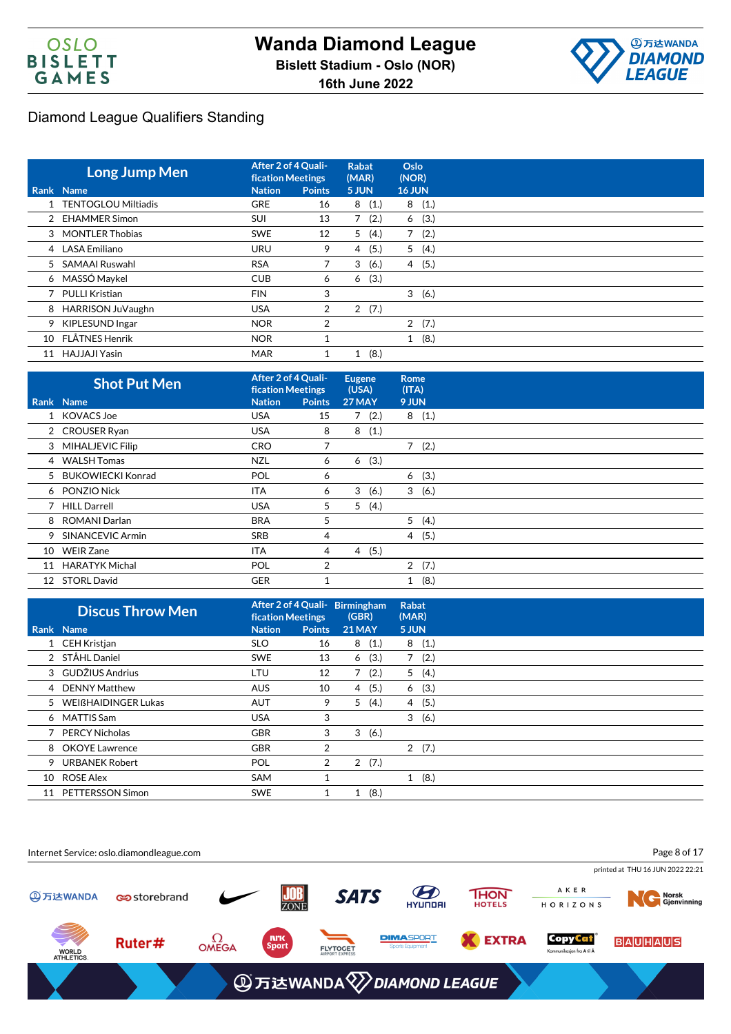



|    | <b>Long Jump Men</b>  | After 2 of 4 Quali-<br><b>fication Meetings</b> |               | Rabat<br>(MAR)         | Oslo<br>(NOR)          |
|----|-----------------------|-------------------------------------------------|---------------|------------------------|------------------------|
|    | Rank Name             | <b>Nation</b>                                   | <b>Points</b> | 5 JUN                  | <b>16 JUN</b>          |
|    | 1 TENTOGLOU Miltiadis | <b>GRE</b>                                      | 16            | (1.)<br>8              | (1.)<br>8              |
|    | 2 EHAMMER Simon       | <b>SUI</b>                                      | 13            | (2.)<br>$\overline{7}$ | (3.)<br>6              |
|    | 3 MONTLER Thobias     | <b>SWE</b>                                      | 12            | 5<br>(4.)              | 7<br>(2.)              |
|    | 4 LASA Emiliano       | <b>URU</b>                                      | 9             | (5.)<br>4              | 5(4.)                  |
|    | 5 SAMAAI Ruswahl      | <b>RSA</b>                                      |               | 3<br>(6.)              | (5.)<br>$\overline{4}$ |
|    | 6 MASSÓ Maykel        | <b>CUB</b>                                      | 6             | (3.)<br>6              |                        |
|    | 7 PULLI Kristian      | <b>FIN</b>                                      | 3             |                        | 3<br>(6.)              |
| 8  | HARRISON JuVaughn     | <b>USA</b>                                      | 2             | 2(7.)                  |                        |
|    | 9 KIPLESUND Ingar     | <b>NOR</b>                                      | 2             |                        | 2(7.)                  |
| 10 | FLÅTNES Henrik        | <b>NOR</b>                                      |               |                        | (8.)<br>$\mathbf{1}$   |
| 11 | HAJJAJI Yasin         | <b>MAR</b>                                      |               | (8.)<br>1              |                        |

|    | <b>Shot Put Men</b> | After 2 of 4 Quali-<br><b>fication Meetings</b> |               | <b>Eugene</b><br>(USA) | <b>Rome</b><br>(ITA)   |  |
|----|---------------------|-------------------------------------------------|---------------|------------------------|------------------------|--|
|    | Rank Name           | <b>Nation</b>                                   | <b>Points</b> | 27 MAY                 | 9 JUN                  |  |
|    | 1 KOVACS Joe        | <b>USA</b>                                      | 15            | 7(2.)                  | 8(1.)                  |  |
|    | 2 CROUSER Ryan      | <b>USA</b>                                      | 8             | (1.)<br>8              |                        |  |
|    | 3 MIHALJEVIC Filip  | <b>CRO</b>                                      | 7             |                        | 7(2.)                  |  |
|    | 4 WALSH Tomas       | <b>NZL</b>                                      | 6             | (3.)<br>6              |                        |  |
|    | 5 BUKOWIECKI Konrad | <b>POL</b>                                      | 6             |                        | 6(3.)                  |  |
|    | 6 PONZIO Nick       | <b>ITA</b>                                      | 6             | 3<br>(6.)              | 3(6.)                  |  |
|    | 7 HILL Darrell      | <b>USA</b>                                      | 5             | 5<br>(4.)              |                        |  |
|    | 8 ROMANI Darlan     | <b>BRA</b>                                      | 5             |                        | 5(4.)                  |  |
| 9  | SINANCEVIC Armin    | <b>SRB</b>                                      | 4             |                        | (5.)<br>$\overline{4}$ |  |
| 10 | <b>WEIR Zane</b>    | <b>ITA</b>                                      | 4             | (5.)<br>$\overline{4}$ |                        |  |
| 11 | HARATYK Michal      | <b>POL</b>                                      | 2             |                        | 2(7.)                  |  |
| 12 | <b>STORL David</b>  | <b>GER</b>                                      |               |                        | (8.)<br>1              |  |

|    | <b>Discus Throw Men</b> | After 2 of 4 Quali- Birmingham<br><b>fication Meetings</b> |                | (GBR)         |      | <b>Rabat</b><br>(MAR) |        |  |
|----|-------------------------|------------------------------------------------------------|----------------|---------------|------|-----------------------|--------|--|
|    | Rank Name               | <b>Nation</b>                                              | <b>Points</b>  | <b>21 MAY</b> |      | 5 JUN                 |        |  |
|    | 1 CEH Kristjan          | <b>SLO</b>                                                 | 16             | 8(1.)         |      |                       | 8(1.)  |  |
|    | 2 STÅHL Daniel          | <b>SWE</b>                                                 | 13             | 6             | (3.) | 7                     | (2.)   |  |
|    | 3 GUDŽIUS Andrius       | LTU                                                        | 12             | 7             | (2.) |                       | 5(4.)  |  |
|    | 4 DENNY Matthew         | <b>AUS</b>                                                 | 10             | 4             | (5.) | 6                     | (3.)   |  |
|    | 5 WEIßHAIDINGER Lukas   | AUT                                                        | 9              | 5             | (4.) |                       | 4 (5.) |  |
|    | 6 MATTIS Sam            | <b>USA</b>                                                 | 3              |               |      | 3                     | (6.)   |  |
|    | 7 PERCY Nicholas        | <b>GBR</b>                                                 | 3              | 3             | (6.) |                       |        |  |
|    | 8 OKOYE Lawrence        | <b>GBR</b>                                                 | $\overline{2}$ |               |      |                       | 2(7.)  |  |
| 9  | <b>URBANEK Robert</b>   | POL                                                        | $\overline{2}$ | 2(7.)         |      |                       |        |  |
| 10 | ROSE Alex               | <b>SAM</b>                                                 |                |               |      | $\mathbf{1}$          | (8.)   |  |
| 11 | PETTERSSON Simon        | <b>SWE</b>                                                 |                | 1             | (8.) |                       |        |  |

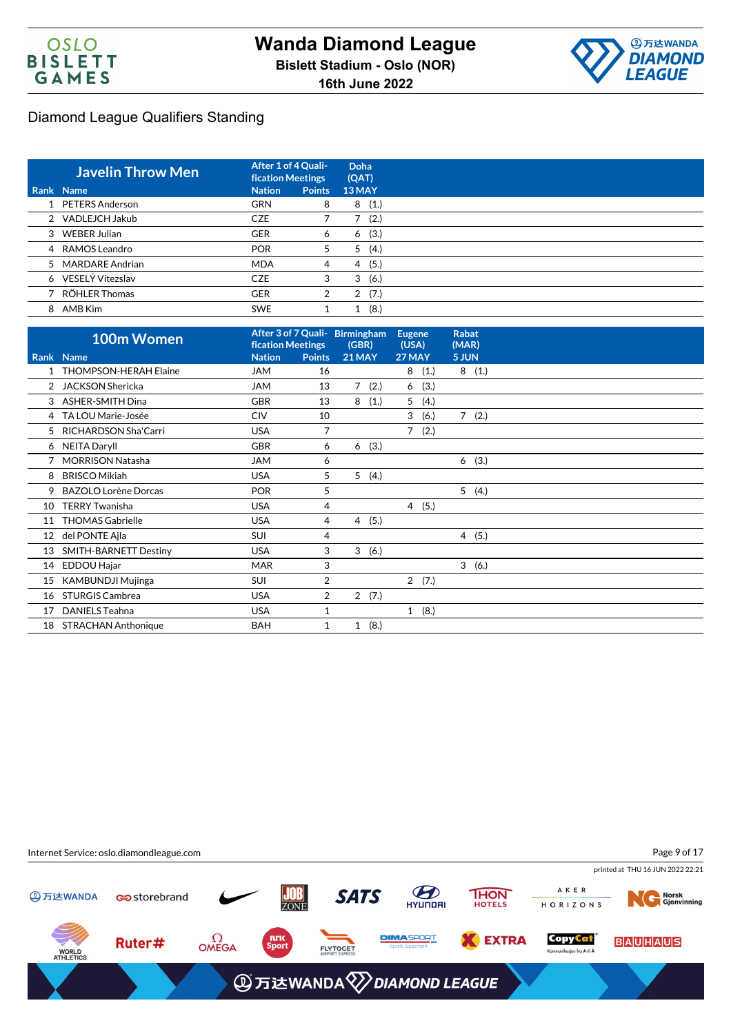



| <b>Javelin Throw Men</b> |               | After 1 of 4 Quali-<br><b>fication Meetings</b> |           |
|--------------------------|---------------|-------------------------------------------------|-----------|
| Rank Name                | <b>Nation</b> | <b>Points</b>                                   | 13 MAY    |
| 1 PETERS Anderson        | <b>GRN</b>    | 8                                               | (1.)<br>8 |
| 2 VADLEJCH Jakub         | <b>CZE</b>    |                                                 | (2.)      |
| 3 WEBER Julian           | <b>GER</b>    | 6                                               | (3.)<br>6 |
| 4 RAMOS Leandro          | <b>POR</b>    | 5                                               | (4.)<br>5 |
| 5 MARDARE Andrian        | <b>MDA</b>    | 4                                               | (5.)<br>4 |
| 6 VESELÝ Vítezslav       | <b>CZE</b>    | 3                                               | (6.)<br>3 |
| 7 RÖHLER Thomas          | <b>GER</b>    | 2                                               | 2(7.)     |
| 8 AMB Kim                | <b>SWE</b>    |                                                 | (8.)      |

|    | 100m Women                   | <b>fication Meetings</b> |                | After 3 of 7 Quali- Birmingham<br>(GBR) | <b>Eugene</b><br>(USA) |       | <b>Rabat</b><br>(MAR)  |
|----|------------------------------|--------------------------|----------------|-----------------------------------------|------------------------|-------|------------------------|
|    | Rank Name                    | <b>Nation</b>            | <b>Points</b>  | <b>21 MAY</b>                           | <b>27 MAY</b>          |       | 5 JUN                  |
|    | <b>THOMPSON-HERAH Elaine</b> | <b>JAM</b>               | 16             |                                         | 8                      | (1.)  | 8(1.)                  |
| 2  | <b>JACKSON Shericka</b>      | <b>JAM</b>               | 13             | $\overline{7}$<br>(2.)                  | 6                      | (3.)  |                        |
| 3  | <b>ASHER-SMITH Dina</b>      | <b>GBR</b>               | 13             | 8<br>(1.)                               | 5                      | (4.)  |                        |
|    | 4 TA LOU Marie-Josée         | <b>CIV</b>               | 10             |                                         | 3                      | (6.)  | $\overline{7}$<br>(2.) |
| 5  | RICHARDSON Sha'Carri         | <b>USA</b>               | $\overline{7}$ |                                         | $\overline{7}$         | (2.)  |                        |
|    | 6 NEITA Daryll               | <b>GBR</b>               | 6              | (3.)<br>6                               |                        |       |                        |
| 7  | <b>MORRISON Natasha</b>      | <b>JAM</b>               | 6              |                                         |                        |       | (3.)<br>6              |
| 8  | <b>BRISCO Mikiah</b>         | <b>USA</b>               | 5              | (4.)<br>5                               |                        |       |                        |
| 9  | <b>BAZOLO Lorène Dorcas</b>  | <b>POR</b>               | 5              |                                         |                        |       | 5(4.)                  |
| 10 | <b>TERRY Twanisha</b>        | <b>USA</b>               | 4              |                                         |                        | 4(5.) |                        |
| 11 | <b>THOMAS Gabrielle</b>      | <b>USA</b>               | 4              | (5.)<br>$\overline{4}$                  |                        |       |                        |
| 12 | del PONTE Ajla               | SUI                      | 4              |                                         |                        |       | 4(5.)                  |
| 13 | <b>SMITH-BARNETT Destiny</b> | <b>USA</b>               | 3              | 3<br>(6.)                               |                        |       |                        |
| 14 | EDDOU Hajar                  | <b>MAR</b>               | 3              |                                         |                        |       | 3(6.)                  |
| 15 | <b>KAMBUNDJI Mujinga</b>     | <b>SUI</b>               | $\overline{2}$ |                                         |                        | 2(7.) |                        |
| 16 | <b>STURGIS Cambrea</b>       | <b>USA</b>               | $\overline{2}$ | $\overline{2}$<br>(7.)                  |                        |       |                        |
| 17 | <b>DANIELS Teahna</b>        | <b>USA</b>               | 1              |                                         |                        | 1(8.) |                        |
| 18 | <b>STRACHAN Anthonique</b>   | <b>BAH</b>               | 1              | (8.)<br>1                               |                        |       |                        |

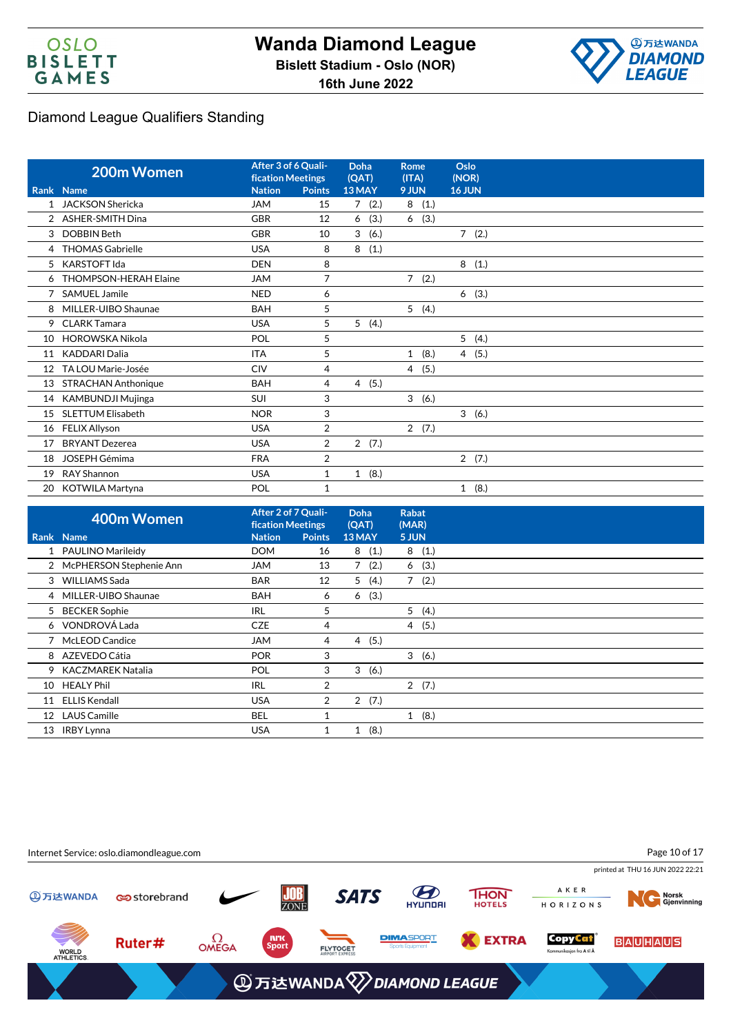



|                 | 200m Women                   | After 3 of 6 Quali-<br><b>fication Meetings</b> |                | Doha<br>(QAT)        | Rome<br>(ITA)        | Oslo<br>(NOR)        |
|-----------------|------------------------------|-------------------------------------------------|----------------|----------------------|----------------------|----------------------|
|                 | Rank Name                    | <b>Nation</b>                                   | <b>Points</b>  | 13 MAY               | 9 JUN                | <b>16 JUN</b>        |
| 1               | <b>JACKSON Shericka</b>      | <b>JAM</b>                                      | 15             | 7(2.)                | 8(1.)                |                      |
| $\overline{2}$  | <b>ASHER-SMITH Dina</b>      | <b>GBR</b>                                      | 12             | (3.)<br>6            | (3.)<br>6            |                      |
| 3               | <b>DOBBIN Beth</b>           | <b>GBR</b>                                      | 10             | 3<br>(6.)            |                      | $7^{\circ}$<br>(2.)  |
| 4               | <b>THOMAS Gabrielle</b>      | <b>USA</b>                                      | 8              | (1.)<br>8            |                      |                      |
| 5               | <b>KARSTOFT Ida</b>          | <b>DEN</b>                                      | 8              |                      |                      | 8<br>(1.)            |
| 6               | <b>THOMPSON-HERAH Elaine</b> | <b>JAM</b>                                      | 7              |                      | $7^{\circ}$<br>(2.)  |                      |
|                 | <b>SAMUEL Jamile</b>         | <b>NED</b>                                      | 6              |                      |                      | (3.)<br>6            |
| 8               | MILLER-UIBO Shaunae          | <b>BAH</b>                                      | 5              |                      | 5(4.)                |                      |
| 9               | <b>CLARK Tamara</b>          | <b>USA</b>                                      | 5              | 5(4.)                |                      |                      |
| 10              | <b>HOROWSKA Nikola</b>       | POL                                             | 5              |                      |                      | 5(4.)                |
| 11              | <b>KADDARI Dalia</b>         | <b>ITA</b>                                      | 5              |                      | (8.)<br>$\mathbf{1}$ | 4(5.)                |
| 12 <sup>°</sup> | TA LOU Marie-Josée           | <b>CIV</b>                                      | $\overline{4}$ |                      | 4 (5.)               |                      |
| 13              | <b>STRACHAN Anthonique</b>   | <b>BAH</b>                                      | 4              | (5.)<br>4            |                      |                      |
| 14              | <b>KAMBUNDJI Mujinga</b>     | SUI                                             | 3              |                      | 3(6.)                |                      |
| 15              | <b>SLETTUM Elisabeth</b>     | <b>NOR</b>                                      | 3              |                      |                      | 3(6.)                |
| 16              | <b>FELIX Allyson</b>         | <b>USA</b>                                      | $\overline{2}$ |                      | 2(7.)                |                      |
| 17              | <b>BRYANT Dezerea</b>        | <b>USA</b>                                      | 2              | 2(7.)                |                      |                      |
| 18              | <b>JOSEPH Gémima</b>         | <b>FRA</b>                                      | 2              |                      |                      | 2(7.)                |
| 19              | RAY Shannon                  | <b>USA</b>                                      | $\mathbf{1}$   | (8.)<br>$\mathbf{1}$ |                      |                      |
| 20              | <b>KOTWILA Martyna</b>       | POL                                             | 1              |                      |                      | (8.)<br>$\mathbf{1}$ |

|                  | 400m Women                | After 2 of 7 Quali-<br><b>fication Meetings</b> |                | Doha<br>(QAT) | <b>Rabat</b><br>(MAR) |  |
|------------------|---------------------------|-------------------------------------------------|----------------|---------------|-----------------------|--|
|                  | Rank Name                 | <b>Nation</b>                                   | <b>Points</b>  | 13 MAY        | 5 JUN                 |  |
|                  | 1 PAULINO Marileidy       | <b>DOM</b>                                      | 16             | 8<br>(1.)     | (1.)<br>8             |  |
|                  | 2 McPHERSON Stephenie Ann | <b>JAM</b>                                      | 13             | 7(2.)         | (3.)<br>6             |  |
|                  | 3 WILLIAMS Sada           | <b>BAR</b>                                      | 12             | 5(4.)         | 7(2.)                 |  |
|                  | 4 MILLER-UIBO Shaunae     | <b>BAH</b>                                      | 6              | 6(3.)         |                       |  |
|                  | 5 BECKER Sophie           | IRL                                             | 5              |               | 5(4.)                 |  |
|                  | 6 VONDROVÁ Lada           | <b>CZE</b>                                      | 4              |               | (5.)<br>4             |  |
|                  | McLEOD Candice            | JAM                                             | 4              | 4 (5.)        |                       |  |
|                  | 8 AZEVEDO Cátia           | <b>POR</b>                                      | 3              |               | 3<br>(6.)             |  |
| 9                | KACZMAREK Natalia         | <b>POL</b>                                      | 3              | 3<br>(6.)     |                       |  |
| 10               | <b>HEALY Phil</b>         | <b>IRL</b>                                      | 2              |               | 2(7.)                 |  |
| 11               | <b>ELLIS Kendall</b>      | <b>USA</b>                                      | $\overline{2}$ | 2(7.)         |                       |  |
| 12 <sup>12</sup> | <b>LAUS Camille</b>       | <b>BEL</b>                                      | 1              |               | 1(8.)                 |  |
| 13               | <b>IRBY Lynna</b>         | <b>USA</b>                                      | 1              | (8.)<br>1     |                       |  |

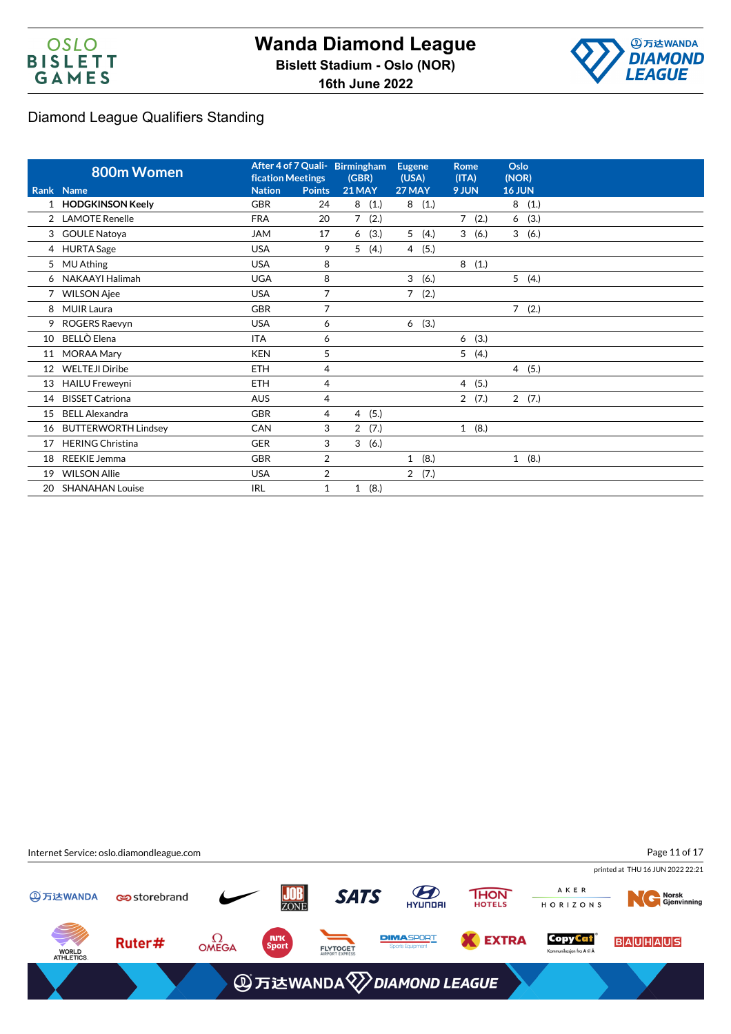



|    | 800m Women                 | <b>fication Meetings</b> |                | After 4 of 7 Quali- Birmingham<br>(GBR) | <b>Eugene</b><br>(USA) | <b>Rome</b><br>(ITA) | Oslo<br>(NOR)          |
|----|----------------------------|--------------------------|----------------|-----------------------------------------|------------------------|----------------------|------------------------|
|    | Rank Name                  | <b>Nation</b>            | <b>Points</b>  | <b>21 MAY</b>                           | <b>27 MAY</b>          | 9 JUN                | <b>16 JUN</b>          |
|    | 1 HODGKINSON Keely         | <b>GBR</b>               | 24             | 8<br>(1.)                               | 8<br>(1.)              |                      | 8<br>(1.)              |
|    | 2 LAMOTE Renelle           | <b>FRA</b>               | 20             | (2.)<br>$\overline{7}$                  |                        | 7(2.)                | (3.)<br>6              |
| 3  | <b>GOULE Natoya</b>        | <b>JAM</b>               | 17             | (3.)<br>6                               | 5<br>(4.)              | 3<br>(6.)            | 3<br>(6.)              |
|    | 4 HURTA Sage               | <b>USA</b>               | 9              | 5<br>(4.)                               | (5.)<br>$\overline{4}$ |                      |                        |
| 5  | <b>MU Athing</b>           | <b>USA</b>               | 8              |                                         |                        | 8(1.)                |                        |
| 6  | NAKAAYI Halimah            | <b>UGA</b>               | 8              |                                         | 3<br>(6.)              |                      | 5<br>(4.)              |
|    | <b>WILSON Ajee</b>         | <b>USA</b>               | $\overline{7}$ |                                         | 7<br>(2.)              |                      |                        |
| 8  | <b>MUIR Laura</b>          | <b>GBR</b>               | 7              |                                         |                        |                      | 7(2.)                  |
| 9  | ROGERS Raevyn              | <b>USA</b>               | 6              |                                         | (3.)<br>6              |                      |                        |
| 10 | BELLÒ Elena                | <b>ITA</b>               | 6              |                                         |                        | 6(3.)                |                        |
| 11 | <b>MORAA Mary</b>          | <b>KEN</b>               | 5              |                                         |                        | 5(4.)                |                        |
| 12 | <b>WELTEJI Diribe</b>      | <b>ETH</b>               | 4              |                                         |                        |                      | $\overline{4}$<br>(5.) |
| 13 | <b>HAILU Freweyni</b>      | <b>ETH</b>               | 4              |                                         |                        | 4(5.)                |                        |
| 14 | <b>BISSET Catriona</b>     | <b>AUS</b>               | 4              |                                         |                        | 2(7.)                | 2(7.)                  |
| 15 | <b>BELL Alexandra</b>      | <b>GBR</b>               | 4              | (5.)<br>4                               |                        |                      |                        |
| 16 | <b>BUTTERWORTH Lindsey</b> | <b>CAN</b>               | 3              | 2<br>(7.)                               |                        | 1(8.)                |                        |
| 17 | <b>HERING Christina</b>    | <b>GER</b>               | 3              | 3<br>(6.)                               |                        |                      |                        |
| 18 | <b>REEKIE Jemma</b>        | <b>GBR</b>               | $\overline{2}$ |                                         | (8.)<br>$\mathbf{1}$   |                      | $\mathbf{1}$<br>(8.)   |
| 19 | <b>WILSON Allie</b>        | <b>USA</b>               | $\overline{2}$ |                                         | 2(7.)                  |                      |                        |
| 20 | <b>SHANAHAN Louise</b>     | <b>IRL</b>               | 1              | (8.)<br>$\mathbf{1}$                    |                        |                      |                        |

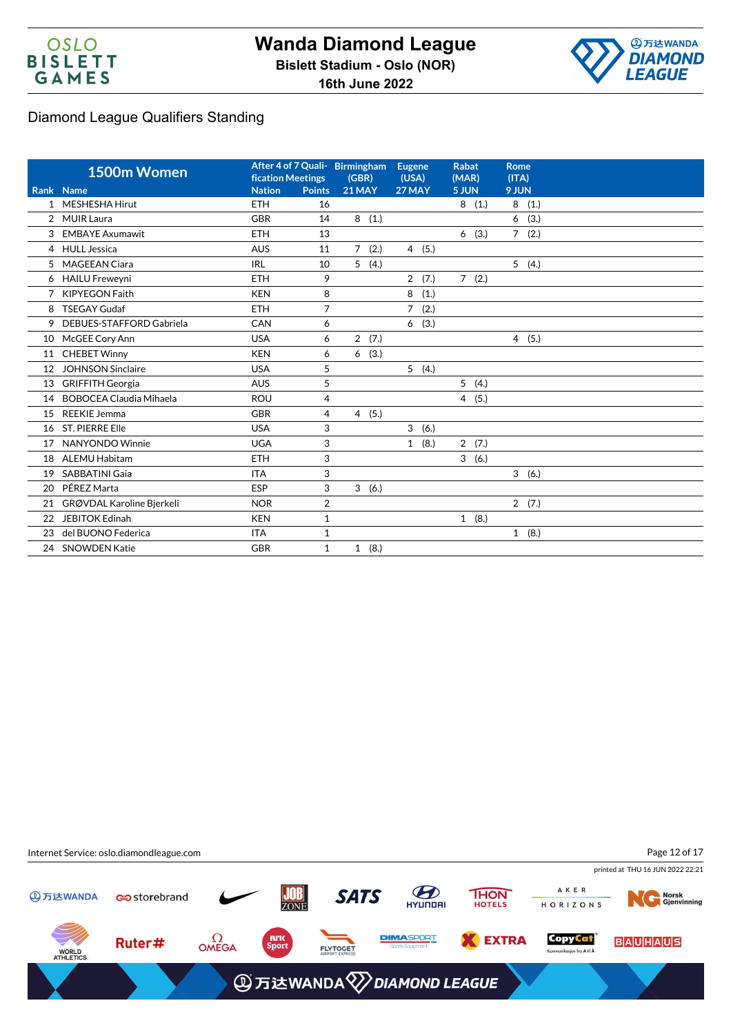



|                | 1500m Women                    | <b>fication Meetings</b> |                | After 4 of 7 Quali- Birmingham<br>(GBR) | <b>Eugene</b><br>(USA) | <b>Rabat</b><br>(MAR) | <b>Rome</b><br>(ITA) |
|----------------|--------------------------------|--------------------------|----------------|-----------------------------------------|------------------------|-----------------------|----------------------|
|                | Rank Name                      | <b>Nation</b>            | <b>Points</b>  | <b>21 MAY</b>                           | 27 MAY                 | 5 JUN                 | 9 JUN                |
| $\mathbf{1}$   | <b>MESHESHA Hirut</b>          | <b>ETH</b>               | 16             |                                         |                        | 8(1.)                 | 8<br>(1.)            |
| $\overline{2}$ | <b>MUIR Laura</b>              | <b>GBR</b>               | 14             | 8<br>(1.)                               |                        |                       | (3.)<br>6            |
| 3              | <b>EMBAYE Axumawit</b>         | <b>ETH</b>               | 13             |                                         |                        | (3.)<br>6             | (2.)<br>$7^{\circ}$  |
|                | 4 HULL Jessica                 | <b>AUS</b>               | 11             | 7(2.)                                   | 4(5.)                  |                       |                      |
| 5              | <b>MAGEEAN Ciara</b>           | <b>IRL</b>               | 10             | 5<br>(4.)                               |                        |                       | 5(4.)                |
|                | 6 HAILU Freweyni               | <b>ETH</b>               | 9              |                                         | 2(7.)                  | 7(2.)                 |                      |
| 7              | <b>KIPYEGON Faith</b>          | <b>KEN</b>               | 8              |                                         | 8<br>(1.)              |                       |                      |
| 8              | <b>TSEGAY Gudaf</b>            | <b>ETH</b>               | 7              |                                         | $\overline{7}$<br>(2.) |                       |                      |
| 9              | DEBUES-STAFFORD Gabriela       | CAN                      | 6              |                                         | (3.)<br>6              |                       |                      |
| 10             | McGEE Cory Ann                 | <b>USA</b>               | 6              | (7.)<br>$\overline{2}$                  |                        |                       | 4(5.)                |
| 11             | <b>CHEBET Winny</b>            | <b>KEN</b>               | 6              | (3.)<br>6                               |                        |                       |                      |
| 12             | <b>JOHNSON Sinclaire</b>       | <b>USA</b>               | 5              |                                         | 5(4.)                  |                       |                      |
| 13             | <b>GRIFFITH Georgia</b>        | <b>AUS</b>               | 5              |                                         |                        | 5(4.)                 |                      |
| 14             | <b>BOBOCEA Claudia Mihaela</b> | <b>ROU</b>               | 4              |                                         |                        | 4(5.)                 |                      |
| 15             | <b>REEKIE Jemma</b>            | <b>GBR</b>               | 4              | 4(5.)                                   |                        |                       |                      |
| 16             | <b>ST. PIERRE Elle</b>         | <b>USA</b>               | 3              |                                         | 3<br>(6.)              |                       |                      |
| 17             | NANYONDO Winnie                | <b>UGA</b>               | 3              |                                         | (8.)<br>1              | 2(7.)                 |                      |
| 18             | <b>ALEMU Habitam</b>           | <b>ETH</b>               | 3              |                                         |                        | 3(6.)                 |                      |
| 19             | <b>SABBATINI Gaia</b>          | <b>ITA</b>               | 3              |                                         |                        |                       | 3(6.)                |
| 20             | PÉREZ Marta                    | <b>ESP</b>               | 3              | 3<br>(6.)                               |                        |                       |                      |
| 21             | GRØVDAL Karoline Bjerkeli      | <b>NOR</b>               | $\overline{2}$ |                                         |                        |                       | 2(7.)                |
| 22             | <b>JEBITOK Edinah</b>          | <b>KEN</b>               | $\mathbf{1}$   |                                         |                        | 1(8.)                 |                      |
| 23             | del BUONO Federica             | <b>ITA</b>               | 1              |                                         |                        |                       | 1(8.)                |
| 24             | <b>SNOWDEN Katie</b>           | <b>GBR</b>               | $\mathbf{1}$   | 1(8.)                                   |                        |                       |                      |

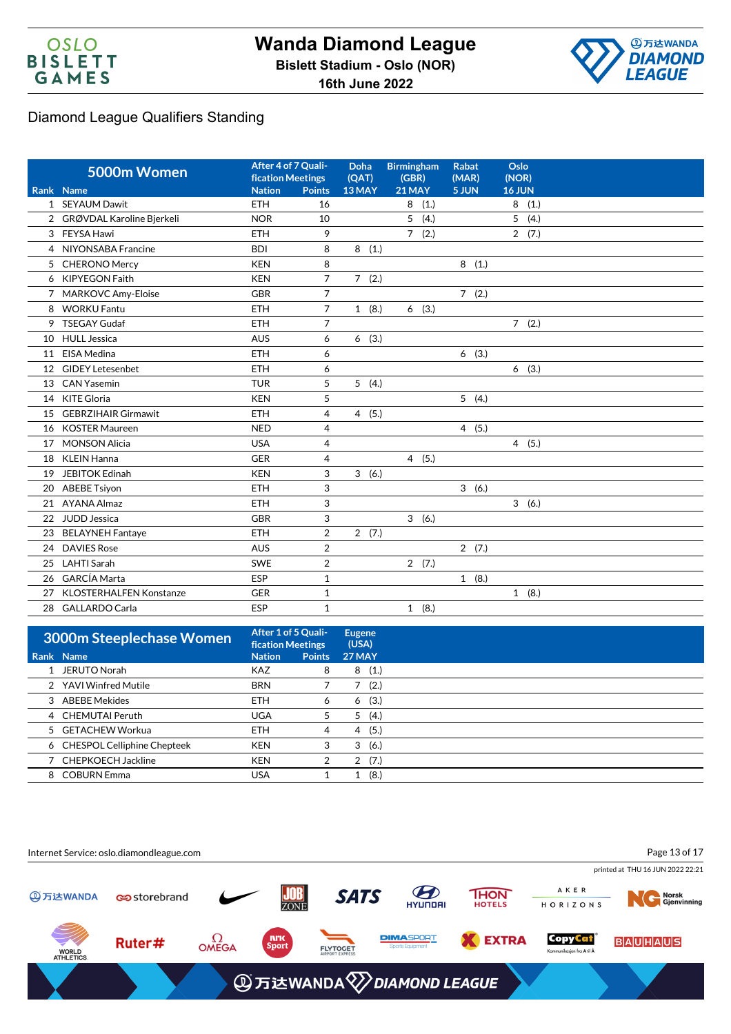



|    | 5000m Women                    | After 4 of 7 Quali-<br><b>fication Meetings</b> |                | Doha<br>(OAT) | <b>Birmingham</b><br>(GBR) | <b>Rabat</b><br>(MAR) | Oslo<br>(NOR)          |  |
|----|--------------------------------|-------------------------------------------------|----------------|---------------|----------------------------|-----------------------|------------------------|--|
|    | Rank Name                      | <b>Nation</b>                                   | <b>Points</b>  | 13 MAY        | <b>21 MAY</b>              | 5 JUN                 | 16 JUN                 |  |
|    | 1 SEYAUM Dawit                 | <b>ETH</b>                                      | 16             |               | 8(1.)                      |                       | 8(1.)                  |  |
|    | 2 GRØVDAL Karoline Bjerkeli    | <b>NOR</b>                                      | 10             |               | 5<br>(4.)                  |                       | 5<br>(4.)              |  |
|    | 3 FEYSA Hawi                   | <b>ETH</b>                                      | 9              |               | $\overline{7}$<br>(2.)     |                       | 2(7.)                  |  |
|    | 4 NIYONSABA Francine           | <b>BDI</b>                                      | 8              | 8(1.)         |                            |                       |                        |  |
|    | 5 CHERONO Mercy                | <b>KEN</b>                                      | 8              |               |                            | 8(1.)                 |                        |  |
|    | 6 KIPYEGON Faith               | <b>KEN</b>                                      | $\overline{7}$ | 7(2.)         |                            |                       |                        |  |
| 7  | MARKOVC Amy-Eloise             | <b>GBR</b>                                      | $\overline{7}$ |               |                            | 7(2.)                 |                        |  |
| 8  | <b>WORKU Fantu</b>             | <b>ETH</b>                                      | $\overline{7}$ | 1(8.)         | (3.)<br>6                  |                       |                        |  |
| 9  | <b>TSEGAY Gudaf</b>            | <b>ETH</b>                                      | $\overline{7}$ |               |                            |                       | 7(2.)                  |  |
| 10 | <b>HULL Jessica</b>            | <b>AUS</b>                                      | 6              | 6(3.)         |                            |                       |                        |  |
| 11 | EISA Medina                    | <b>ETH</b>                                      | 6              |               |                            | 6(3.)                 |                        |  |
| 12 | <b>GIDEY Letesenbet</b>        | <b>ETH</b>                                      | 6              |               |                            |                       | 6<br>(3.)              |  |
| 13 | <b>CAN Yasemin</b>             | <b>TUR</b>                                      | 5              | 5(4.)         |                            |                       |                        |  |
| 14 | <b>KITE Gloria</b>             | <b>KEN</b>                                      | 5              |               |                            | 5(4.)                 |                        |  |
| 15 | <b>GEBRZIHAIR Girmawit</b>     | <b>ETH</b>                                      | 4              | 4(5.)         |                            |                       |                        |  |
| 16 | <b>KOSTER Maureen</b>          | <b>NED</b>                                      | 4              |               |                            | 4(5.)                 |                        |  |
| 17 | <b>MONSON Alicia</b>           | <b>USA</b>                                      | $\overline{4}$ |               |                            |                       | (5.)<br>$\overline{4}$ |  |
| 18 | <b>KLEIN Hanna</b>             | <b>GER</b>                                      | 4              |               | 4(5.)                      |                       |                        |  |
| 19 | <b>JEBITOK Edinah</b>          | <b>KEN</b>                                      | 3              | 3(6.)         |                            |                       |                        |  |
| 20 | <b>ABEBE Tsiyon</b>            | <b>ETH</b>                                      | 3              |               |                            | 3(6.)                 |                        |  |
| 21 | AYANA Almaz                    | <b>ETH</b>                                      | 3              |               |                            |                       | 3(6.)                  |  |
| 22 | JUDD Jessica                   | <b>GBR</b>                                      | 3              |               | 3(6.)                      |                       |                        |  |
| 23 | <b>BELAYNEH Fantaye</b>        | <b>ETH</b>                                      | $\overline{2}$ | 2(7.)         |                            |                       |                        |  |
| 24 | <b>DAVIES Rose</b>             | <b>AUS</b>                                      | $\overline{2}$ |               |                            | 2(7.)                 |                        |  |
| 25 | <b>LAHTI Sarah</b>             | <b>SWE</b>                                      | $\overline{2}$ |               | 2(7.)                      |                       |                        |  |
| 26 | <b>GARCÍA Marta</b>            | ESP                                             | $\mathbf{1}$   |               |                            | 1(8.)                 |                        |  |
| 27 | <b>KLOSTERHALFEN Konstanze</b> | <b>GER</b>                                      | $\mathbf{1}$   |               |                            |                       | 1(8.)                  |  |
| 28 | <b>GALLARDO Carla</b>          | ESP                                             | $\mathbf{1}$   |               | 1(8.)                      |                       |                        |  |

| 3000m Steeplechase Women      |               | After 1 of 5 Quali-<br><b>fication Meetings</b> |               |
|-------------------------------|---------------|-------------------------------------------------|---------------|
| Rank Name                     | <b>Nation</b> | <b>Points</b>                                   | <b>27 MAY</b> |
| 1 JERUTO Norah                | <b>KAZ</b>    | 8                                               | (1.)<br>8     |
| 2 YAVI Winfred Mutile         | <b>BRN</b>    |                                                 | (2.)          |
| 3 ABEBE Mekides               | <b>ETH</b>    | 6                                               | (3.)<br>6     |
| 4 CHEMUTAI Peruth             | <b>UGA</b>    | 5                                               | (4.)<br>5     |
| 5 GETACHEW Workua             | <b>ETH</b>    | 4                                               | (5.)<br>4     |
| 6 CHESPOL Celliphine Chepteek | <b>KEN</b>    | 3                                               | 3<br>(6.)     |
| 7 CHEPKOECH Jackline          | <b>KEN</b>    | 2                                               | (7.)<br>2     |
| 8 COBURN Emma                 | <b>USA</b>    |                                                 | (8.)          |

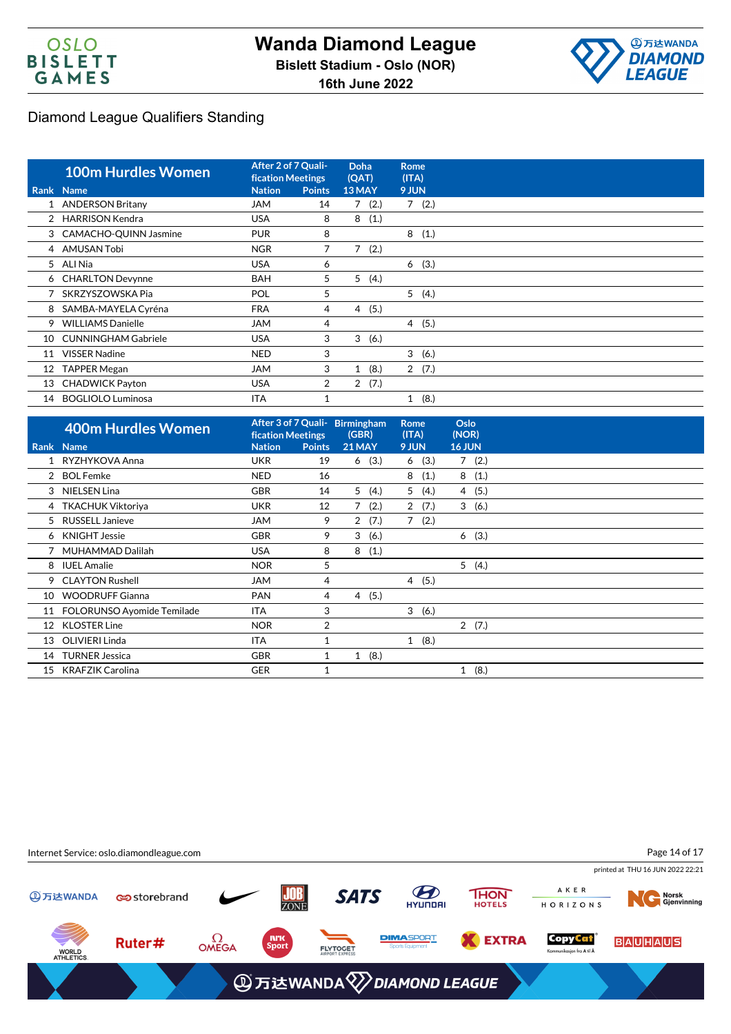



|    | <b>100m Hurdles Women</b>  | After 2 of 7 Quali-<br><b>fication Meetings</b> |               | <b>Doha</b><br>(QAT) | <b>Rome</b><br>(ITA) |  |
|----|----------------------------|-------------------------------------------------|---------------|----------------------|----------------------|--|
|    | Rank Name                  | <b>Nation</b>                                   | <b>Points</b> | 13 MAY               | 9 JUN                |  |
|    | 1 ANDERSON Britany         | JAM                                             | 14            | 7(2.)                | 7(2.)                |  |
|    | 2 HARRISON Kendra          | <b>USA</b>                                      | 8             | 8<br>(1.)            |                      |  |
|    | 3 CAMACHO-QUINN Jasmine    | <b>PUR</b>                                      | 8             |                      | 8<br>(1.)            |  |
|    | 4 AMUSAN Tobi              | <b>NGR</b>                                      | 7             | (2.)                 |                      |  |
|    | 5 ALI Nia                  | <b>USA</b>                                      | 6             |                      | (3.)<br>6            |  |
|    | 6 CHARLTON Devynne         | <b>BAH</b>                                      | 5             | 5<br>(4.)            |                      |  |
|    | 7 SKRZYSZOWSKA Pia         | POL                                             | 5             |                      | 5(4.)                |  |
| 8  | SAMBA-MAYELA Cyréna        | <b>FRA</b>                                      | 4             | 4(5.)                |                      |  |
| 9  | <b>WILLIAMS Danielle</b>   | <b>JAM</b>                                      | 4             |                      | 4(5.)                |  |
| 10 | <b>CUNNINGHAM Gabriele</b> | <b>USA</b>                                      | 3             | 3<br>(6.)            |                      |  |
| 11 | <b>VISSER Nadine</b>       | <b>NED</b>                                      | 3             |                      | 3(6.)                |  |
| 12 | <b>TAPPER Megan</b>        | <b>JAM</b>                                      | 3             | (8.)<br>$\mathbf{1}$ | 2(7.)                |  |
| 13 | <b>CHADWICK Payton</b>     | <b>USA</b>                                      | 2             | 2(7.)                |                      |  |
| 14 | <b>BOGLIOLO Luminosa</b>   | <b>ITA</b>                                      |               |                      | (8.)<br>$\mathbf{1}$ |  |

|    | <b>400m Hurdles Women</b>  | <b>fication Meetings</b> |                | After 3 of 7 Quali- Birmingham<br>(GBR) | <b>Rome</b><br>(ITA) | Oslo<br>(NOR)        |  |
|----|----------------------------|--------------------------|----------------|-----------------------------------------|----------------------|----------------------|--|
|    | Rank Name                  | <b>Nation</b>            | <b>Points</b>  | 21 MAY                                  | 9 JUN                | <b>16 JUN</b>        |  |
|    | RYZHYKOVA Anna             | <b>UKR</b>               | 19             | (3.)<br>6                               | (3.)<br>6            | (2.)<br>7            |  |
|    | <b>BOL Femke</b>           | <b>NED</b>               | 16             |                                         | (1.)<br>8            | 8<br>(1.)            |  |
| 3  | NIELSEN Lina               | <b>GBR</b>               | 14             | 5<br>(4.)                               | 5<br>(4.)            | (5.)<br>4            |  |
|    | 4 TKACHUK Viktoriya        | <b>UKR</b>               | 12             | 7<br>(2.)                               | 2<br>(7.)            | 3<br>(6.)            |  |
| 5  | <b>RUSSELL Janieve</b>     | JAM                      | 9              | 2(7.)                                   | 7(2.)                |                      |  |
|    | 6 KNIGHT Jessie            | <b>GBR</b>               | 9              | 3(6.)                                   |                      | 6(3.)                |  |
|    | 7 MUHAMMAD Dalilah         | <b>USA</b>               | 8              | (1.)<br>8                               |                      |                      |  |
| 8  | <b>IUEL Amalie</b>         | <b>NOR</b>               | 5              |                                         |                      | 5(4.)                |  |
| 9  | <b>CLAYTON Rushell</b>     | <b>JAM</b>               | 4              |                                         | 4(5.)                |                      |  |
| 10 | <b>WOODRUFF Gianna</b>     | <b>PAN</b>               | 4              | 4(5.)                                   |                      |                      |  |
| 11 | FOLORUNSO Ayomide Temilade | <b>ITA</b>               | 3              |                                         | 3(6.)                |                      |  |
| 12 | <b>KLOSTER Line</b>        | <b>NOR</b>               | $\overline{2}$ |                                         |                      | 2(7.)                |  |
| 13 | OLIVIERI Linda             | ITA                      |                |                                         | 1(8.)                |                      |  |
| 14 | <b>TURNER Jessica</b>      | <b>GBR</b>               | 1              | (8.)<br>1                               |                      |                      |  |
| 15 | <b>KRAFZIK Carolina</b>    | <b>GER</b>               |                |                                         |                      | (8.)<br>$\mathbf{1}$ |  |

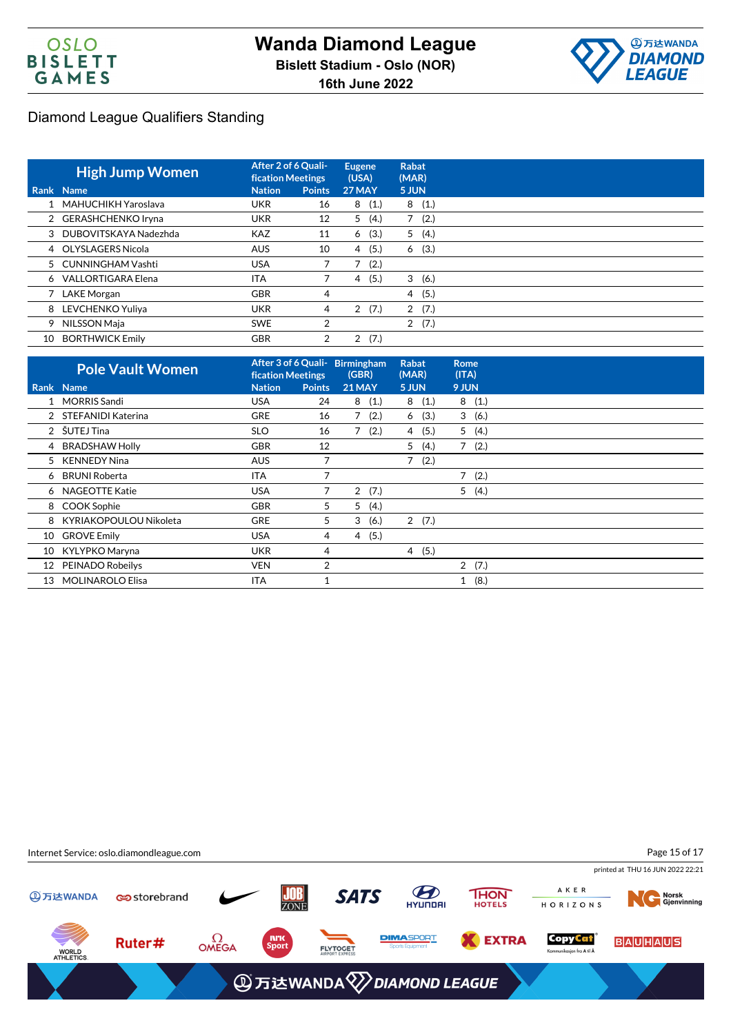



|      | <b>High Jump Women</b>  | After 2 of 6 Quali-<br><b>fication Meetings</b> |                | <b>Eugene</b><br>(USA) | Rabat<br>(MAR) |      |
|------|-------------------------|-------------------------------------------------|----------------|------------------------|----------------|------|
| Rank | <b>Name</b>             | <b>Nation</b>                                   | <b>Points</b>  | 27 MAY                 | 5 JUN          |      |
|      | 1 MAHUCHIKH Yaroslava   | <b>UKR</b>                                      | 16             | (1.)<br>8              | 8              | (1.) |
|      | 2 GERASHCHENKO Iryna    | <b>UKR</b>                                      | 12             | 5<br>(4.)              |                | (2.) |
|      | 3 DUBOVITSKAYA Nadezhda | <b>KAZ</b>                                      | 11             | (3.)<br>6              | 5              | (4.) |
|      | 4 OLYSLAGERS Nicola     | <b>AUS</b>                                      | 10             | (5.)<br>4              | 6              | (3.) |
|      | 5 CUNNINGHAM Vashti     | <b>USA</b>                                      |                | (2.)                   |                |      |
|      | 6 VALLORTIGARA Elena    | <b>ITA</b>                                      |                | (5.)<br>4              | 3(6.)          |      |
|      | LAKE Morgan             | <b>GBR</b>                                      | 4              |                        | $\overline{4}$ | (5.) |
|      | 8 LEVCHENKO Yuliya      | <b>UKR</b>                                      | 4              | (7.)<br>2              | 2(7.)          |      |
| 9    | NILSSON Maja            | <b>SWE</b>                                      | $\overline{2}$ |                        | 2(7.)          |      |
| 10   | <b>BORTHWICK Emily</b>  | <b>GBR</b>                                      | 2              | (7.)<br>2              |                |      |

| <b>Pole Vault Women</b> |                                                                                                                                                                                                                                           |                | (GBR)                    | <b>Rabat</b><br>(MAR)          | <b>Rome</b><br>(ITA)   |
|-------------------------|-------------------------------------------------------------------------------------------------------------------------------------------------------------------------------------------------------------------------------------------|----------------|--------------------------|--------------------------------|------------------------|
|                         | <b>Nation</b>                                                                                                                                                                                                                             | <b>Points</b>  | <b>21 MAY</b>            | 5 JUN                          | 9 JUN                  |
|                         | <b>USA</b>                                                                                                                                                                                                                                | 24             | 8(1.)                    | 8(1.)                          | 8(1.)                  |
|                         | <b>GRE</b>                                                                                                                                                                                                                                | 16             | (2.)<br>7                | (3.)<br>6                      | 3(6.)                  |
|                         | <b>SLO</b>                                                                                                                                                                                                                                | 16             | (2.)<br>7                | (5.)<br>4                      | 5(4.)                  |
|                         | <b>GBR</b>                                                                                                                                                                                                                                | 12             |                          | 5<br>(4.)                      | 7(2.)                  |
|                         | <b>AUS</b>                                                                                                                                                                                                                                | ⇁              |                          | 7<br>(2.)                      |                        |
|                         | ITA                                                                                                                                                                                                                                       |                |                          |                                | $\overline{7}$<br>(2.) |
|                         | <b>USA</b>                                                                                                                                                                                                                                | 7              | 2(7.)                    |                                | 5(4.)                  |
|                         | <b>GBR</b>                                                                                                                                                                                                                                | 5              | (4.)<br>5                |                                |                        |
|                         | <b>GRE</b>                                                                                                                                                                                                                                | 5              | 3<br>(6.)                | 2(7.)                          |                        |
| <b>GROVE Emily</b>      | <b>USA</b>                                                                                                                                                                                                                                | 4              | (5.)<br>$\overline{4}$   |                                |                        |
|                         | <b>UKR</b>                                                                                                                                                                                                                                | 4              |                          | 4(5.)                          |                        |
|                         | <b>VEN</b>                                                                                                                                                                                                                                | $\overline{2}$ |                          |                                | 2(7.)                  |
| <b>MOLINAROLO Elisa</b> | ITA                                                                                                                                                                                                                                       |                |                          |                                | (8.)<br>1              |
| 10                      | Rank Name<br>1 MORRIS Sandi<br>2 STEFANIDI Katerina<br>2 ŠUTEJ Tina<br>4 BRADSHAW Holly<br>5 KENNEDY Nina<br>6 BRUNI Roberta<br>6 NAGEOTTE Katie<br>8 COOK Sophie<br>8 KYRIAKOPOULOU Nikoleta<br>10 KYLYPKO Maryna<br>12 PEINADO Robeilys |                | <b>fication Meetings</b> | After 3 of 6 Quali- Birmingham |                        |

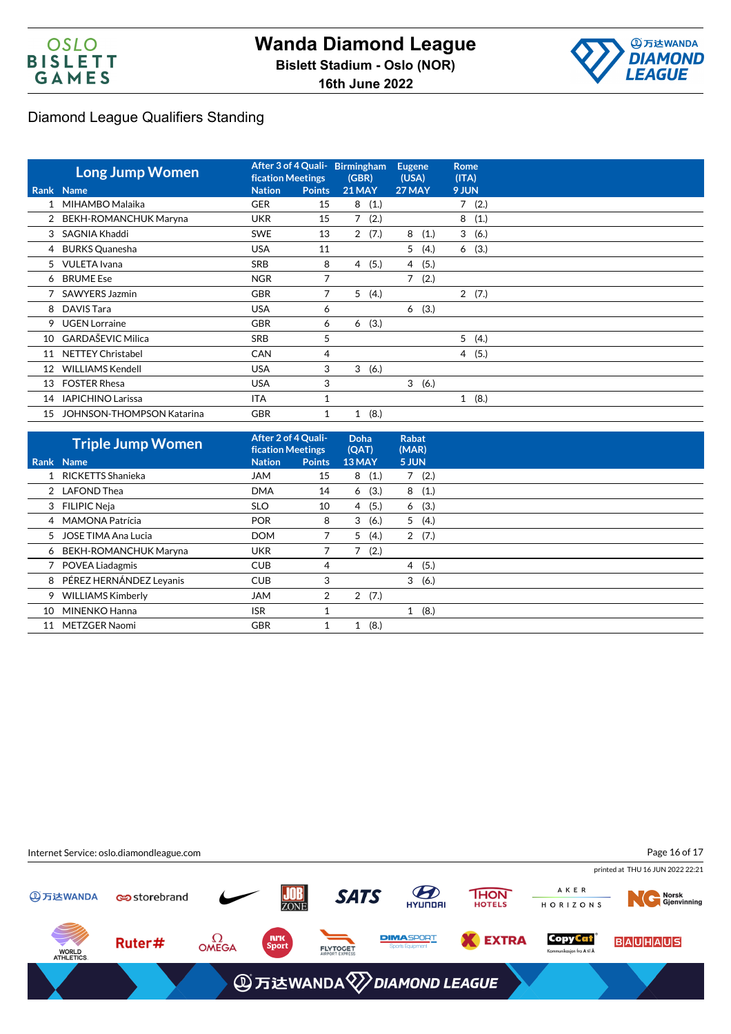



|    | <b>Long Jump Women</b>           |               | After 3 of 4 Quali-<br><b>fication Meetings</b> |               | Birmingham<br>(GBR) |   | <b>Eugene</b><br>(USA) |   | <b>Rome</b><br>(ITA) |  |
|----|----------------------------------|---------------|-------------------------------------------------|---------------|---------------------|---|------------------------|---|----------------------|--|
|    | <b>Rank Name</b>                 | <b>Nation</b> | <b>Points</b>                                   | <b>21 MAY</b> |                     |   | 27 MAY<br>9 JUN        |   |                      |  |
|    | 1 MIHAMBO Malaika                | <b>GER</b>    | 15                                              | 8             | (1.)                |   |                        |   | 7(2.)                |  |
|    | 2 BEKH-ROMANCHUK Maryna          | <b>UKR</b>    | 15                                              |               | 7(2.)               |   |                        |   | 8(1.)                |  |
| 3  | SAGNIA Khaddi                    | <b>SWE</b>    | 13                                              |               | 2(7.)               | 8 | (1.)                   |   | 3(6.)                |  |
|    | 4 BURKS Quanesha                 | <b>USA</b>    | 11                                              |               |                     | 5 | (4.)                   |   | 6(3.)                |  |
|    | 5 VULETA Ivana                   | SRB           | 8                                               | 4             | (5.)                | 4 | (5.)                   |   |                      |  |
|    | 6 BRUME Ese                      | <b>NGR</b>    | 7                                               |               |                     | 7 | (2.)                   |   |                      |  |
|    | SAWYERS Jazmin                   | <b>GBR</b>    | 7                                               | 5             | (4.)                |   |                        |   | 2(7.)                |  |
|    | 8 DAVIS Tara                     | <b>USA</b>    | 6                                               |               |                     | 6 | (3.)                   |   |                      |  |
| 9  | <b>UGEN Lorraine</b>             | <b>GBR</b>    | 6                                               | 6             | (3.)                |   |                        |   |                      |  |
| 10 | <b>GARDAŠEVIC Milica</b>         | <b>SRB</b>    | 5                                               |               |                     |   |                        | 5 | (4.)                 |  |
| 11 | <b>NETTEY Christabel</b>         | <b>CAN</b>    | $\overline{4}$                                  |               |                     |   |                        |   | 4(5.)                |  |
| 12 | WILLIAMS Kendell                 | <b>USA</b>    | 3                                               | 3             | (6.)                |   |                        |   |                      |  |
| 13 | <b>FOSTER Rhesa</b>              | <b>USA</b>    | 3                                               |               |                     |   | 3(6.)                  |   |                      |  |
| 14 | <b>IAPICHINO Larissa</b>         | <b>ITA</b>    | 1                                               |               |                     |   |                        |   | 1(8.)                |  |
| 15 | <b>JOHNSON-THOMPSON Katarina</b> | <b>GBR</b>    | 1                                               | $\mathbf{1}$  | (8.)                |   |                        |   |                      |  |

|    | <b>Triple Jump Women</b> |               | After 2 of 4 Quali-<br><b>fication Meetings</b> |                        | <b>Rabat</b><br>(MAR) |       |  |
|----|--------------------------|---------------|-------------------------------------------------|------------------------|-----------------------|-------|--|
|    | Rank Name                | <b>Nation</b> | <b>Points</b>                                   | <b>13 MAY</b>          | 5 JUN                 |       |  |
|    | RICKETTS Shanieka        | <b>JAM</b>    | 15                                              | 8<br>(1.)              | 7                     | (2.)  |  |
|    | 2 LAFOND Thea            | <b>DMA</b>    | 14                                              | (3.)<br>6              |                       | 8(1.) |  |
|    | 3 FILIPIC Neja           | <b>SLO</b>    | 10                                              | (5.)<br>4              | 6                     | (3.)  |  |
|    | 4 MAMONA Patrícia        | <b>POR</b>    | 8                                               | (6.)<br>3              | 5(4.)                 |       |  |
| 5. | JOSE TIMA Ana Lucia      | <b>DOM</b>    |                                                 | 5<br>(4.)              | $\overline{2}$        | (7.)  |  |
|    | 6 BEKH-ROMANCHUK Maryna  | <b>UKR</b>    |                                                 | 7<br>(2.)              |                       |       |  |
|    | <b>POVEA Liadagmis</b>   | <b>CUB</b>    | 4                                               |                        | 4                     | (5.)  |  |
| 8  | PÉREZ HERNÁNDEZ Leyanis  | <b>CUB</b>    | 3                                               |                        | 3                     | (6.)  |  |
| 9  | <b>WILLIAMS Kimberly</b> | <b>JAM</b>    | $\overline{2}$                                  | (7.)<br>$\overline{2}$ |                       |       |  |
| 10 | MINENKO Hanna            | <b>ISR</b>    |                                                 |                        | 1                     | (8.)  |  |
| 11 | METZGER Naomi            | <b>GBR</b>    |                                                 | (8.)<br>1              |                       |       |  |